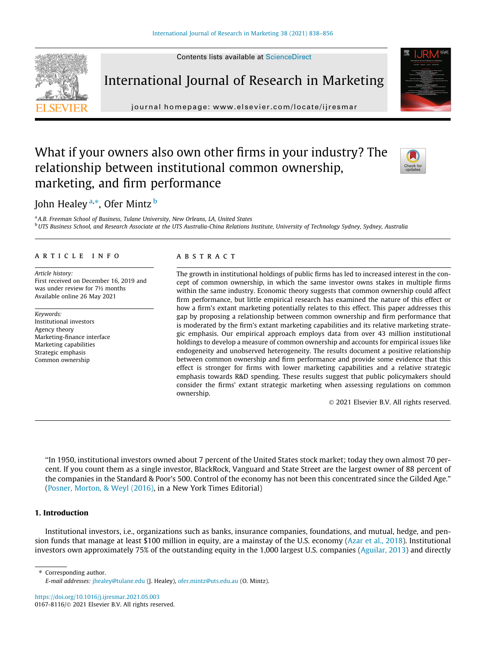

International Journal of Research in Marketing

journal homepage: [www.elsevier.com/locate/ijresmar](http://www.elsevier.com/locate/ijresmar)

# What if your owners also own other firms in your industry? The relationship between institutional common ownership, marketing, and firm performance

# John Healey <sup>a,</sup>\*, Ofer Mintz <sup>b</sup>

<sup>a</sup> A.B. Freeman School of Business, Tulane University, New Orleans, LA, United States b UTS Business School, and Research Associate at the UTS Australia-China Relations Institute, University of Technology Sydney, Sydney, Australia

#### article info

Article history: First received on December 16, 2019 and was under review for 7½ months Available online 26 May 2021

Keywords: Institutional investors Agency theory Marketing-finance interface Marketing capabilities Strategic emphasis Common ownership

#### ABSTRACT

The growth in institutional holdings of public firms has led to increased interest in the concept of common ownership, in which the same investor owns stakes in multiple firms within the same industry. Economic theory suggests that common ownership could affect firm performance, but little empirical research has examined the nature of this effect or how a firm's extant marketing potentially relates to this effect. This paper addresses this gap by proposing a relationship between common ownership and firm performance that is moderated by the firm's extant marketing capabilities and its relative marketing strategic emphasis. Our empirical approach employs data from over 43 million institutional holdings to develop a measure of common ownership and accounts for empirical issues like endogeneity and unobserved heterogeneity. The results document a positive relationship between common ownership and firm performance and provide some evidence that this effect is stronger for firms with lower marketing capabilities and a relative strategic emphasis towards R&D spending. These results suggest that public policymakers should consider the firms' extant strategic marketing when assessing regulations on common ownership.

2021 Elsevier B.V. All rights reserved.

''In 1950, institutional investors owned about 7 percent of the United States stock market; today they own almost 70 percent. If you count them as a single investor, BlackRock, Vanguard and State Street are the largest owner of 88 percent of the companies in the Standard & Poor's 500. Control of the economy has not been this concentrated since the Gilded Age." ([Posner, Morton, & Weyl \(2016\)](#page-18-0), in a New York Times Editorial)

### 1. Introduction

Institutional investors, i.e., organizations such as banks, insurance companies, foundations, and mutual, hedge, and pension funds that manage at least \$100 million in equity, are a mainstay of the U.S. economy ([Azar et al., 2018](#page-17-0)). Institutional investors own approximately 75% of the outstanding equity in the 1,000 largest U.S. companies [\(Aguilar, 2013\)](#page-17-0) and directly

⇑ Corresponding author.

<https://doi.org/10.1016/j.ijresmar.2021.05.003>



E-mail addresses: [jhealey@tulane.edu](mailto:jhealey@tulane.edu) (J. Healey), [ofer.mintz@uts.edu.au](mailto:ofer.mintz@uts.edu.au) (O. Mintz).

<sup>0167-8116/ 2021</sup> Elsevier B.V. All rights reserved.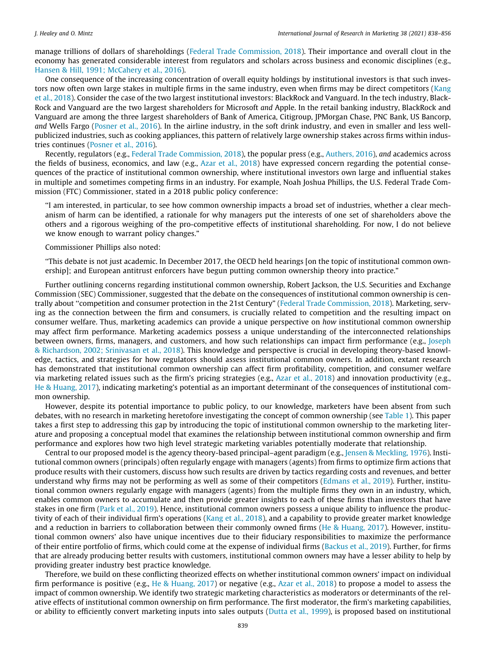manage trillions of dollars of shareholdings [\(Federal Trade Commission, 2018\)](#page-17-0). Their importance and overall clout in the economy has generated considerable interest from regulators and scholars across business and economic disciplines (e.g., [Hansen & Hill, 1991; McCahery et al., 2016](#page-17-0)).

One consequence of the increasing concentration of overall equity holdings by institutional investors is that such investors now often own large stakes in multiple firms in the same industry, even when firms may be direct competitors [\(Kang](#page-17-0) [et al., 2018\)](#page-17-0). Consider the case of the two largest institutional investors: BlackRock and Vanguard. In the tech industry, Black-Rock and Vanguard are the two largest shareholders for Microsoft and Apple. In the retail banking industry, BlackRock and Vanguard are among the three largest shareholders of Bank of America, Citigroup, JPMorgan Chase, PNC Bank, US Bancorp, and Wells Fargo ([Posner et al., 2016](#page-18-0)). In the airline industry, in the soft drink industry, and even in smaller and less wellpublicized industries, such as cooking appliances, this pattern of relatively large ownership stakes across firms within industries continues ([Posner et al., 2016](#page-18-0)).

Recently, regulators (e.g., [Federal Trade Commission, 2018](#page-17-0)), the popular press (e.g., [Authers, 2016\)](#page-17-0), and academics across the fields of business, economics, and law (e.g., [Azar et al., 2018](#page-17-0)) have expressed concern regarding the potential consequences of the practice of institutional common ownership, where institutional investors own large and influential stakes in multiple and sometimes competing firms in an industry. For example, Noah Joshua Phillips, the U.S. Federal Trade Commission (FTC) Commissioner, stated in a 2018 public policy conference:

''I am interested, in particular, to see how common ownership impacts a broad set of industries, whether a clear mechanism of harm can be identified, a rationale for why managers put the interests of one set of shareholders above the others and a rigorous weighing of the pro-competitive effects of institutional shareholding. For now, I do not believe we know enough to warrant policy changes."

Commissioner Phillips also noted:

''This debate is not just academic. In December 2017, the OECD held hearings [on the topic of institutional common ownership]; and European antitrust enforcers have begun putting common ownership theory into practice."

Further outlining concerns regarding institutional common ownership, Robert Jackson, the U.S. Securities and Exchange Commission (SEC) Commissioner, suggested that the debate on the consequences of institutional common ownership is centrally about ''competition and consumer protection in the 21st Century" ([Federal Trade Commission, 2018](#page-17-0)). Marketing, serving as the connection between the firm and consumers, is crucially related to competition and the resulting impact on consumer welfare. Thus, marketing academics can provide a unique perspective on how institutional common ownership may affect firm performance. Marketing academics possess a unique understanding of the interconnected relationships between owners, firms, managers, and customers, and how such relationships can impact firm performance (e.g., [Joseph](#page-17-0) [& Richardson, 2002; Srinivasan et al., 2018](#page-17-0)). This knowledge and perspective is crucial in developing theory-based knowledge, tactics, and strategies for how regulators should assess institutional common owners. In addition, extant research has demonstrated that institutional common ownership can affect firm profitability, competition, and consumer welfare via marketing related issues such as the firm's pricing strategies (e.g., [Azar et al., 2018\)](#page-17-0) and innovation productivity (e.g., [He & Huang, 2017](#page-17-0)), indicating marketing's potential as an important determinant of the consequences of institutional common ownership.

However, despite its potential importance to public policy, to our knowledge, marketers have been absent from such debates, with no research in marketing heretofore investigating the concept of common ownership (see [Table 1\)](#page-3-0). This paper takes a first step to addressing this gap by introducing the topic of institutional common ownership to the marketing literature and proposing a conceptual model that examines the relationship between institutional common ownership and firm performance and explores how two high level strategic marketing variables potentially moderate that relationship.

Central to our proposed model is the agency theory-based principal–agent paradigm (e.g., [Jensen & Meckling, 1976](#page-17-0)). Institutional common owners (principals) often regularly engage with managers (agents) from firms to optimize firm actions that produce results with their customers, discuss how such results are driven by tactics regarding costs and revenues, and better understand why firms may not be performing as well as some of their competitors [\(Edmans et al., 2019](#page-17-0)). Further, institutional common owners regularly engage with managers (agents) from the multiple firms they own in an industry, which, enables common owners to accumulate and then provide greater insights to each of these firms than investors that have stakes in one firm ([Park et al., 2019](#page-18-0)). Hence, institutional common owners possess a unique ability to influence the productivity of each of their individual firm's operations [\(Kang et al., 2018](#page-17-0)), and a capability to provide greater market knowledge and a reduction in barriers to collaboration between their commonly owned firms ([He & Huang, 2017\)](#page-17-0). However, institutional common owners' also have unique incentives due to their fiduciary responsibilities to maximize the performance of their entire portfolio of firms, which could come at the expense of individual firms ([Backus et al., 2019\)](#page-17-0). Further, for firms that are already producing better results with customers, institutional common owners may have a lesser ability to help by providing greater industry best practice knowledge.

Therefore, we build on these conflicting theorized effects on whether institutional common owners' impact on individual firm performance is positive (e.g., [He & Huang, 2017](#page-17-0)) or negative (e.g., [Azar et al., 2018](#page-17-0)) to propose a model to assess the impact of common ownership. We identify two strategic marketing characteristics as moderators or determinants of the relative effects of institutional common ownership on firm performance. The first moderator, the firm's marketing capabilities, or ability to efficiently convert marketing inputs into sales outputs [\(Dutta et al., 1999\)](#page-17-0), is proposed based on institutional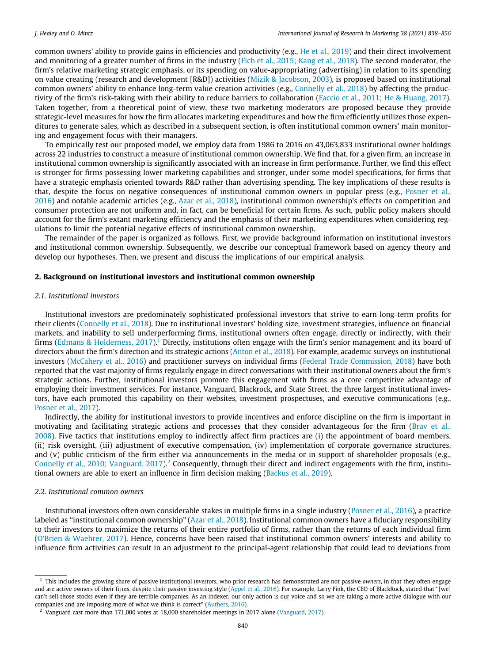common owners' ability to provide gains in efficiencies and productivity (e.g., [He et al., 2019](#page-17-0)) and their direct involvement and monitoring of a greater number of firms in the industry [\(Fich et al., 2015; Kang et al., 2018](#page-17-0)). The second moderator, the firm's relative marketing strategic emphasis, or its spending on value-appropriating (advertising) in relation to its spending on value creating (research and development [R&D]) activities ([Mizik & Jacobson, 2003](#page-18-0)), is proposed based on institutional common owners' ability to enhance long-term value creation activities (e.g., [Connelly et al., 2018](#page-17-0)) by affecting the productivity of the firm's risk-taking with their ability to reduce barriers to collaboration [\(Faccio et al., 2011; He & Huang, 2017](#page-17-0)). Taken together, from a theoretical point of view, these two marketing moderators are proposed because they provide strategic-level measures for how the firm allocates marketing expenditures and how the firm efficiently utilizes those expenditures to generate sales, which as described in a subsequent section, is often institutional common owners' main monitoring and engagement focus with their managers.

To empirically test our proposed model, we employ data from 1986 to 2016 on 43,063,833 institutional owner holdings across 22 industries to construct a measure of institutional common ownership. We find that, for a given firm, an increase in institutional common ownership is significantly associated with an increase in firm performance. Further, we find this effect is stronger for firms possessing lower marketing capabilities and stronger, under some model specifications, for firms that have a strategic emphasis oriented towards R&D rather than advertising spending. The key implications of these results is that, despite the focus on negative consequences of institutional common owners in popular press (e.g., [Posner et al.,](#page-18-0) [2016\)](#page-18-0) and notable academic articles (e.g., [Azar et al., 2018](#page-17-0)), institutional common ownership's effects on competition and consumer protection are not uniform and, in fact, can be beneficial for certain firms. As such, public policy makers should account for the firm's extant marketing efficiency and the emphasis of their marketing expenditures when considering regulations to limit the potential negative effects of institutional common ownership.

The remainder of the paper is organized as follows. First, we provide background information on institutional investors and institutional common ownership. Subsequently, we describe our conceptual framework based on agency theory and develop our hypotheses. Then, we present and discuss the implications of our empirical analysis.

#### 2. Background on institutional investors and institutional common ownership

#### 2.1. Institutional investors

Institutional investors are predominately sophisticated professional investors that strive to earn long-term profits for their clients ([Connelly et al., 2018\)](#page-17-0). Due to institutional investors' holding size, investment strategies, influence on financial markets, and inability to sell underperforming firms, institutional owners often engage, directly or indirectly, with their firms [\(Edmans & Holderness, 2017](#page-17-0)).<sup>1</sup> Directly, institutions often engage with the firm's senior management and its board of directors about the firm's direction and its strategic actions [\(Anton et al., 2018\)](#page-17-0). For example, academic surveys on institutional investors ([McCahery et al., 2016\)](#page-18-0) and practitioner surveys on individual firms [\(Federal Trade Commission, 2018\)](#page-17-0) have both reported that the vast majority of firms regularly engage in direct conversations with their institutional owners about the firm's strategic actions. Further, institutional investors promote this engagement with firms as a core competitive advantage of employing their investment services. For instance, Vanguard, Blackrock, and State Street, the three largest institutional investors, have each promoted this capability on their websites, investment prospectuses, and executive communications (e.g., [Posner et al., 2017](#page-18-0)).

Indirectly, the ability for institutional investors to provide incentives and enforce discipline on the firm is important in motivating and facilitating strategic actions and processes that they consider advantageous for the firm ([Brav et al.,](#page-17-0) [2008\)](#page-17-0). Five tactics that institutions employ to indirectly affect firm practices are (i) the appointment of board members, (ii) risk oversight, (iii) adjustment of executive compensation, (iv) implementation of corporate governance structures, and (v) public criticism of the firm either via announcements in the media or in support of shareholder proposals (e.g., [Connelly et al., 2010; Vanguard, 2017\)](#page-17-0).<sup>2</sup> Consequently, through their direct and indirect engagements with the firm, institutional owners are able to exert an influence in firm decision making [\(Backus et al., 2019\)](#page-17-0).

#### 2.2. Institutional common owners

Institutional investors often own considerable stakes in multiple firms in a single industry ([Posner et al., 2016\)](#page-18-0), a practice labeled as ''institutional common ownership" ([Azar et al., 2018\)](#page-17-0). Institutional common owners have a fiduciary responsibility to their investors to maximize the returns of their entire portfolio of firms, rather than the returns of each individual firm [\(O'Brien & Waehrer, 2017\)](#page-18-0). Hence, concerns have been raised that institutional common owners' interests and ability to influence firm activities can result in an adjustment to the principal-agent relationship that could lead to deviations from

 $<sup>1</sup>$  This includes the growing share of passive institutional *investors*, who prior research has demonstrated are not passive *owners*, in that they often engage</sup> and are active owners of their firms, despite their passive investing style [\(Appel et al., 2016\)](#page-17-0). For example, Larry Fink, the CEO of BlackRock, stated that "[we] can't sell those stocks even if they are terrible companies. As an indexer, our only action is our voice and so we are taking a more active dialogue with our companies and are imposing more of what we think is correct" [\(Authers, 2016\)](#page-17-0).

<sup>&</sup>lt;sup>2</sup> Vanguard cast more than 171,000 votes at 18,000 shareholder meetings in 2017 alone [\(Vanguard, 2017](#page-18-0)).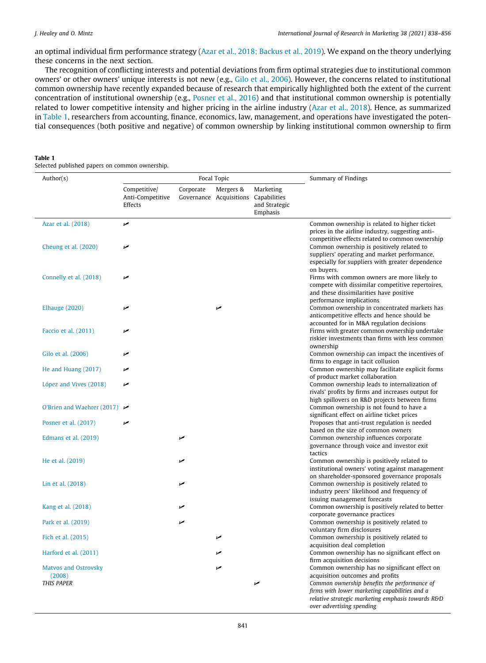<span id="page-3-0"></span>an optimal individual firm performance strategy ([Azar et al., 2018; Backus et al., 2019\)](#page-17-0). We expand on the theory underlying these concerns in the next section.

The recognition of conflicting interests and potential deviations from firm optimal strategies due to institutional common owners' or other owners' unique interests is not new (e.g., [Gilo et al., 2006\)](#page-17-0). However, the concerns related to institutional common ownership have recently expanded because of research that empirically highlighted both the extent of the current concentration of institutional ownership (e.g., [Posner et al., 2016\)](#page-18-0) and that institutional common ownership is potentially related to lower competitive intensity and higher pricing in the airline industry ([Azar et al., 2018\)](#page-17-0). Hence, as summarized in Table 1, researchers from accounting, finance, economics, law, management, and operations have investigated the potential consequences (both positive and negative) of common ownership by linking institutional common ownership to firm

#### Table 1

Selected published papers on common ownership.

| Author(s)                                        | Focal Topic                                 |           |                                                   | Summary of Findings                    |                                                                                                                                                                                       |  |
|--------------------------------------------------|---------------------------------------------|-----------|---------------------------------------------------|----------------------------------------|---------------------------------------------------------------------------------------------------------------------------------------------------------------------------------------|--|
|                                                  | Competitive/<br>Anti-Competitive<br>Effects | Corporate | Mergers &<br>Governance Acquisitions Capabilities | Marketing<br>and Strategic<br>Emphasis |                                                                                                                                                                                       |  |
| Azar et al. (2018)                               | مما                                         |           |                                                   |                                        | Common ownership is related to higher ticket<br>prices in the airline industry, suggesting anti-<br>competitive effects related to common ownership                                   |  |
| Cheung et al. (2020)                             | مما                                         |           |                                                   |                                        | Common ownership is positively related to<br>suppliers' operating and market performance,<br>especially for suppliers with greater dependence<br>on buyers.                           |  |
| Connelly et al. (2018)                           | مما                                         |           |                                                   |                                        | Firms with common owners are more likely to<br>compete with dissimilar competitive repertoires,<br>and these dissimilarities have positive<br>performance implications                |  |
| <b>Elhauge</b> (2020)                            | ممنا                                        |           | مما                                               |                                        | Common ownership in concentrated markets has<br>anticompetitive effects and hence should be                                                                                           |  |
| Faccio et al. (2011)                             | مما                                         |           |                                                   |                                        | accounted for in M&A regulation decisions<br>Firms with greater common ownership undertake<br>riskier investments than firms with less common<br>ownership                            |  |
| Gilo et al. (2006)                               | مما                                         |           |                                                   |                                        | Common ownership can impact the incentives of<br>firms to engage in tacit collusion                                                                                                   |  |
| He and Huang $(2017)$                            | ممنا                                        |           |                                                   |                                        | Common ownership may facilitate explicit forms                                                                                                                                        |  |
| López and Vives (2018)                           | مما                                         |           |                                                   |                                        | of product market collaboration<br>Common ownership leads to internalization of<br>rivals' profits by firms and increases output for<br>high spillovers on R&D projects between firms |  |
| O'Brien and Waehrer (2017) $\blacktriangleright$ |                                             |           |                                                   |                                        | Common ownership is not found to have a<br>significant effect on airline ticket prices                                                                                                |  |
| Posner et al. (2017)                             |                                             |           |                                                   |                                        | Proposes that anti-trust regulation is needed                                                                                                                                         |  |
| Edmans et al. (2019)                             |                                             | مما       |                                                   |                                        | based on the size of common owners<br>Common ownership influences corporate<br>governance through voice and investor exit<br>tactics                                                  |  |
| He et al. (2019)                                 |                                             |           |                                                   |                                        | Common ownership is positively related to<br>institutional owners' voting against management<br>on shareholder-sponsored governance proposals                                         |  |
| Lin et al. (2018)                                |                                             |           |                                                   |                                        | Common ownership is positively related to<br>industry peers' likelihood and frequency of<br>issuing management forecasts                                                              |  |
| Kang et al. (2018)                               |                                             |           |                                                   |                                        | Common ownership is positively related to better<br>corporate governance practices                                                                                                    |  |
| Park et al. (2019)                               |                                             |           |                                                   |                                        | Common ownership is positively related to<br>voluntary firm disclosures                                                                                                               |  |
| Fich et al. (2015)                               |                                             |           | مما                                               |                                        | Common ownership is positively related to<br>acquisition deal completion                                                                                                              |  |
| Harford et al. (2011)                            |                                             |           |                                                   |                                        | Common ownership has no significant effect on                                                                                                                                         |  |
| <b>Matvos and Ostrovsky</b><br>(2008)            |                                             |           | مما                                               |                                        | firm acquisition decisions<br>Common ownership has no significant effect on<br>acquisition outcomes and profits                                                                       |  |
| <b>THIS PAPER</b>                                |                                             |           |                                                   | مما                                    | Common ownership benefits the performance of<br>firms with lower marketing capabilities and a<br>relative strategic marketing emphasis towards R&D<br>over advertising spending       |  |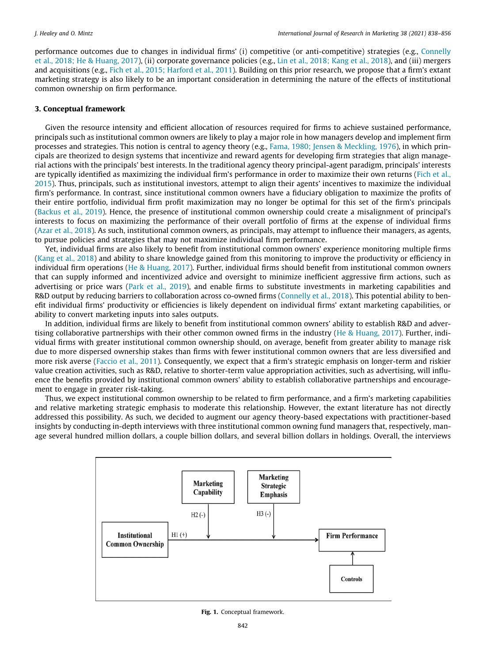<span id="page-4-0"></span>performance outcomes due to changes in individual firms' (i) competitive (or anti-competitive) strategies (e.g., [Connelly](#page-17-0) [et al., 2018; He & Huang, 2017\)](#page-17-0), (ii) corporate governance policies (e.g., [Lin et al., 2018; Kang et al., 2018\)](#page-18-0), and (iii) mergers and acquisitions (e.g., [Fich et al., 2015; Harford et al., 2011](#page-17-0)). Building on this prior research, we propose that a firm's extant marketing strategy is also likely to be an important consideration in determining the nature of the effects of institutional common ownership on firm performance.

### 3. Conceptual framework

Given the resource intensity and efficient allocation of resources required for firms to achieve sustained performance, principals such as institutional common owners are likely to play a major role in how managers develop and implement firm processes and strategies. This notion is central to agency theory (e.g., [Fama, 1980; Jensen & Meckling, 1976\)](#page-17-0), in which principals are theorized to design systems that incentivize and reward agents for developing firm strategies that align managerial actions with the principals' best interests. In the traditional agency theory principal-agent paradigm, principals' interests are typically identified as maximizing the individual firm's performance in order to maximize their own returns [\(Fich et al.,](#page-17-0) [2015\)](#page-17-0). Thus, principals, such as institutional investors, attempt to align their agents' incentives to maximize the individual firm's performance. In contrast, since institutional common owners have a fiduciary obligation to maximize the profits of their entire portfolio, individual firm profit maximization may no longer be optimal for this set of the firm's principals [\(Backus et al., 2019\)](#page-17-0). Hence, the presence of institutional common ownership could create a misalignment of principal's interests to focus on maximizing the performance of their overall portfolio of firms at the expense of individual firms [\(Azar et al., 2018\)](#page-17-0). As such, institutional common owners, as principals, may attempt to influence their managers, as agents, to pursue policies and strategies that may not maximize individual firm performance.

Yet, individual firms are also likely to benefit from institutional common owners' experience monitoring multiple firms [\(Kang et al., 2018](#page-17-0)) and ability to share knowledge gained from this monitoring to improve the productivity or efficiency in individual firm operations ([He & Huang, 2017\)](#page-17-0). Further, individual firms should benefit from institutional common owners that can supply informed and incentivized advice and oversight to minimize inefficient aggressive firm actions, such as advertising or price wars [\(Park et al., 2019](#page-18-0)), and enable firms to substitute investments in marketing capabilities and R&D output by reducing barriers to collaboration across co-owned firms ([Connelly et al., 2018](#page-17-0)). This potential ability to benefit individual firms' productivity or efficiencies is likely dependent on individual firms' extant marketing capabilities, or ability to convert marketing inputs into sales outputs.

In addition, individual firms are likely to benefit from institutional common owners' ability to establish R&D and advertising collaborative partnerships with their other common owned firms in the industry [\(He & Huang, 2017\)](#page-17-0). Further, individual firms with greater institutional common ownership should, on average, benefit from greater ability to manage risk due to more dispersed ownership stakes than firms with fewer institutional common owners that are less diversified and more risk averse [\(Faccio et al., 2011](#page-17-0)). Consequently, we expect that a firm's strategic emphasis on longer-term and riskier value creation activities, such as R&D, relative to shorter-term value appropriation activities, such as advertising, will influence the benefits provided by institutional common owners' ability to establish collaborative partnerships and encouragement to engage in greater risk-taking.

Thus, we expect institutional common ownership to be related to firm performance, and a firm's marketing capabilities and relative marketing strategic emphasis to moderate this relationship. However, the extant literature has not directly addressed this possibility. As such, we decided to augment our agency theory-based expectations with practitioner-based insights by conducting in-depth interviews with three institutional common owning fund managers that, respectively, manage several hundred million dollars, a couple billion dollars, and several billion dollars in holdings. Overall, the interviews



Fig. 1. Conceptual framework.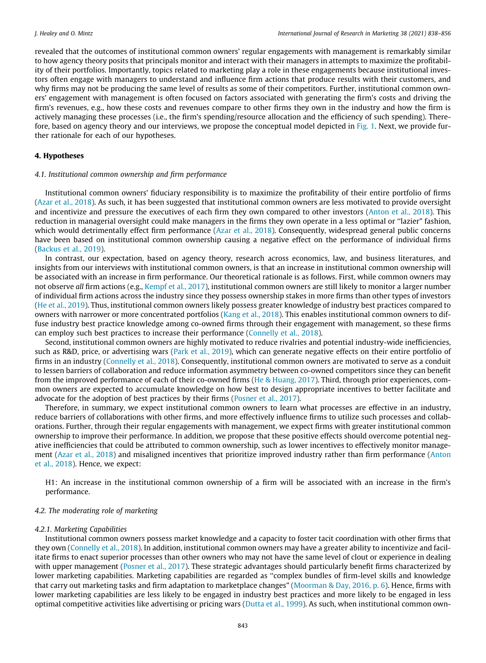revealed that the outcomes of institutional common owners' regular engagements with management is remarkably similar to how agency theory posits that principals monitor and interact with their managers in attempts to maximize the profitability of their portfolios. Importantly, topics related to marketing play a role in these engagements because institutional investors often engage with managers to understand and influence firm actions that produce results with their customers, and why firms may not be producing the same level of results as some of their competitors. Further, institutional common owners' engagement with management is often focused on factors associated with generating the firm's costs and driving the firm's revenues, e.g., how these costs and revenues compare to other firms they own in the industry and how the firm is actively managing these processes (i.e., the firm's spending/resource allocation and the efficiency of such spending). Therefore, based on agency theory and our interviews, we propose the conceptual model depicted in [Fig. 1.](#page-4-0) Next, we provide further rationale for each of our hypotheses.

#### 4. Hypotheses

#### 4.1. Institutional common ownership and firm performance

Institutional common owners' fiduciary responsibility is to maximize the profitability of their entire portfolio of firms [\(Azar et al., 2018\)](#page-17-0). As such, it has been suggested that institutional common owners are less motivated to provide oversight and incentivize and pressure the executives of each firm they own compared to other investors [\(Anton et al., 2018\)](#page-17-0). This reduction in managerial oversight could make managers in the firms they own operate in a less optimal or ''lazier" fashion, which would detrimentally effect firm performance [\(Azar et al., 2018\)](#page-17-0). Consequently, widespread general public concerns have been based on institutional common ownership causing a negative effect on the performance of individual firms [\(Backus et al., 2019](#page-17-0)).

In contrast, our expectation, based on agency theory, research across economics, law, and business literatures, and insights from our interviews with institutional common owners, is that an increase in institutional common ownership will be associated with an increase in firm performance. Our theoretical rationale is as follows. First, while common owners may not observe all firm actions (e.g., [Kempf et al., 2017\)](#page-17-0), institutional common owners are still likely to monitor a larger number of individual firm actions across the industry since they possess ownership stakes in more firms than other types of investors [\(He et al., 2019](#page-17-0)). Thus, institutional common owners likely possess greater knowledge of industry best practices compared to owners with narrower or more concentrated portfolios ([Kang et al., 2018\)](#page-17-0). This enables institutional common owners to diffuse industry best practice knowledge among co-owned firms through their engagement with management, so these firms can employ such best practices to increase their performance ([Connelly et al., 2018\)](#page-17-0).

Second, institutional common owners are highly motivated to reduce rivalries and potential industry-wide inefficiencies, such as R&D, price, or advertising wars ([Park et al., 2019\)](#page-18-0), which can generate negative effects on their entire portfolio of firms in an industry [\(Connelly et al., 2018\)](#page-17-0). Consequently, institutional common owners are motivated to serve as a conduit to lessen barriers of collaboration and reduce information asymmetry between co-owned competitors since they can benefit from the improved performance of each of their co-owned firms [\(He & Huang, 2017](#page-17-0)). Third, through prior experiences, common owners are expected to accumulate knowledge on how best to design appropriate incentives to better facilitate and advocate for the adoption of best practices by their firms [\(Posner et al., 2017\)](#page-18-0).

Therefore, in summary, we expect institutional common owners to learn what processes are effective in an industry, reduce barriers of collaborations with other firms, and more effectively influence firms to utilize such processes and collaborations. Further, through their regular engagements with management, we expect firms with greater institutional common ownership to improve their performance. In addition, we propose that these positive effects should overcome potential negative inefficiencies that could be attributed to common ownership, such as lower incentives to effectively monitor management ([Azar et al., 2018\)](#page-17-0) and misaligned incentives that prioritize improved industry rather than firm performance [\(Anton](#page-17-0) [et al., 2018](#page-17-0)). Hence, we expect:

H1: An increase in the institutional common ownership of a firm will be associated with an increase in the firm's performance.

#### 4.2. The moderating role of marketing

#### 4.2.1. Marketing Capabilities

Institutional common owners possess market knowledge and a capacity to foster tacit coordination with other firms that they own [\(Connelly et al., 2018\)](#page-17-0). In addition, institutional common owners may have a greater ability to incentivize and facilitate firms to enact superior processes than other owners who may not have the same level of clout or experience in dealing with upper management [\(Posner et al., 2017](#page-18-0)). These strategic advantages should particularly benefit firms characterized by lower marketing capabilities. Marketing capabilities are regarded as ''complex bundles of firm-level skills and knowledge that carry out marketing tasks and firm adaptation to marketplace changes" [\(Moorman & Day, 2016, p. 6](#page-18-0)). Hence, firms with lower marketing capabilities are less likely to be engaged in industry best practices and more likely to be engaged in less optimal competitive activities like advertising or pricing wars ([Dutta et al., 1999](#page-17-0)). As such, when institutional common own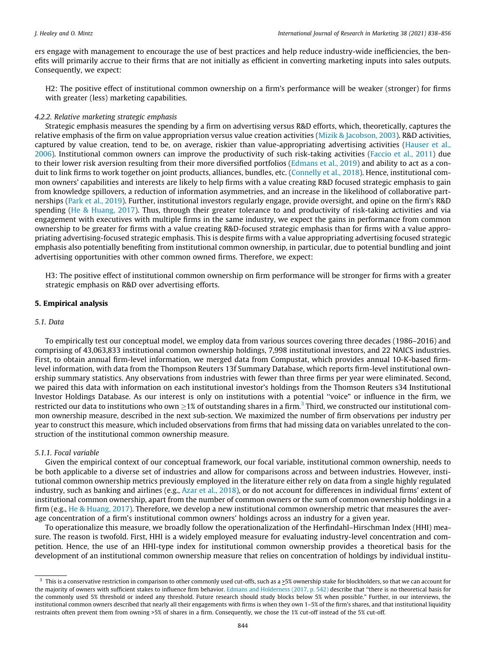<span id="page-6-0"></span>ers engage with management to encourage the use of best practices and help reduce industry-wide inefficiencies, the benefits will primarily accrue to their firms that are not initially as efficient in converting marketing inputs into sales outputs. Consequently, we expect:

H2: The positive effect of institutional common ownership on a firm's performance will be weaker (stronger) for firms with greater (less) marketing capabilities.

#### 4.2.2. Relative marketing strategic emphasis

Strategic emphasis measures the spending by a firm on advertising versus R&D efforts, which, theoretically, captures the relative emphasis of the firm on value appropriation versus value creation activities ([Mizik & Jacobson, 2003\)](#page-18-0). R&D activities, captured by value creation, tend to be, on average, riskier than value-appropriating advertising activities [\(Hauser et al.,](#page-17-0) [2006\)](#page-17-0). Institutional common owners can improve the productivity of such risk-taking activities [\(Faccio et al., 2011\)](#page-17-0) due to their lower risk aversion resulting from their more diversified portfolios [\(Edmans et al., 2019](#page-17-0)) and ability to act as a conduit to link firms to work together on joint products, alliances, bundles, etc. ([Connelly et al., 2018\)](#page-17-0). Hence, institutional common owners' capabilities and interests are likely to help firms with a value creating R&D focused strategic emphasis to gain from knowledge spillovers, a reduction of information asymmetries, and an increase in the likelihood of collaborative partnerships [\(Park et al., 2019\)](#page-18-0). Further, institutional investors regularly engage, provide oversight, and opine on the firm's R&D spending ([He & Huang, 2017](#page-17-0)). Thus, through their greater tolerance to and productivity of risk-taking activities and via engagement with executives with multiple firms in the same industry, we expect the gains in performance from common ownership to be greater for firms with a value creating R&D-focused strategic emphasis than for firms with a value appropriating advertising-focused strategic emphasis. This is despite firms with a value appropriating advertising focused strategic emphasis also potentially benefiting from institutional common ownership, in particular, due to potential bundling and joint advertising opportunities with other common owned firms. Therefore, we expect:

H3: The positive effect of institutional common ownership on firm performance will be stronger for firms with a greater strategic emphasis on R&D over advertising efforts.

#### 5. Empirical analysis

#### 5.1. Data

To empirically test our conceptual model, we employ data from various sources covering three decades (1986–2016) and comprising of 43,063,833 institutional common ownership holdings, 7,998 institutional investors, and 22 NAICS industries. First, to obtain annual firm-level information, we merged data from Compustat, which provides annual 10-K-based firmlevel information, with data from the Thompson Reuters 13f Summary Database, which reports firm-level institutional ownership summary statistics. Any observations from industries with fewer than three firms per year were eliminated. Second, we paired this data with information on each institutional investor's holdings from the Thomson Reuters s34 Institutional Investor Holdings Database. As our interest is only on institutions with a potential ''voice" or influence in the firm, we restricted our data to institutions who own >1% of outstanding shares in a firm.<sup>3</sup> Third, we constructed our institutional common ownership measure, described in the next sub-section. We maximized the number of firm observations per industry per year to construct this measure, which included observations from firms that had missing data on variables unrelated to the construction of the institutional common ownership measure.

#### 5.1.1. Focal variable

Given the empirical context of our conceptual framework, our focal variable, institutional common ownership, needs to be both applicable to a diverse set of industries and allow for comparisons across and between industries. However, institutional common ownership metrics previously employed in the literature either rely on data from a single highly regulated industry, such as banking and airlines (e.g., [Azar et al., 2018\)](#page-17-0), or do not account for differences in individual firms' extent of institutional common ownership, apart from the number of common owners or the sum of common ownership holdings in a firm (e.g., [He & Huang, 2017](#page-17-0)). Therefore, we develop a new institutional common ownership metric that measures the average concentration of a firm's institutional common owners' holdings across an industry for a given year.

To operationalize this measure, we broadly follow the operationalization of the Herfindahl–Hirschman Index (HHI) measure. The reason is twofold. First, HHI is a widely employed measure for evaluating industry-level concentration and competition. Hence, the use of an HHI-type index for institutional common ownership provides a theoretical basis for the development of an institutional common ownership measure that relies on concentration of holdings by individual institu-

<sup>&</sup>lt;sup>3</sup> This is a conservative restriction in comparison to other commonly used cut-offs, such as a  $\geq$ 5% ownership stake for blockholders, so that we can account for the majority of owners with sufficient stakes to influence firm behavior. [Edmans and Holderness \(2017, p. 542\)](#page-17-0) describe that "there is no theoretical basis for the commonly used 5% threshold or indeed any threshold. Future research should study blocks below 5% when possible." Further, in our interviews, the institutional common owners described that nearly all their engagements with firms is when they own 1–5% of the firm's shares, and that institutional liquidity restraints often prevent them from owning >5% of shares in a firm. Consequently, we chose the 1% cut-off instead of the 5% cut-off.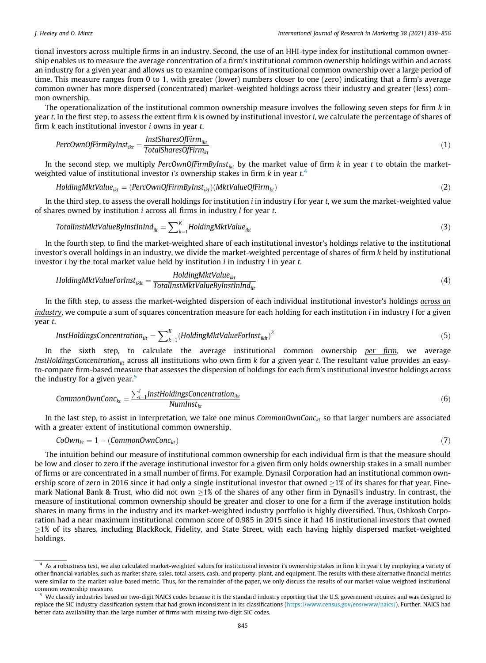tional investors across multiple firms in an industry. Second, the use of an HHI-type index for institutional common ownership enables us to measure the average concentration of a firm's institutional common ownership holdings within and across an industry for a given year and allows us to examine comparisons of institutional common ownership over a large period of time. This measure ranges from 0 to 1, with greater (lower) numbers closer to one (zero) indicating that a firm's average common owner has more dispersed (concentrated) market-weighted holdings across their industry and greater (less) common ownership.

The operationalization of the institutional common ownership measure involves the following seven steps for firm  $k$  in year t. In the first step, to assess the extent firm k is owned by institutional investor i, we calculate the percentage of shares of firm  $k$  each institutional investor  $i$  owns in year  $t$ .

$$
PercomolfirmByInst_{ikt} = \frac{InstSharesOfFirm_{ikt}}{TotalSharesOfFirm_{kt}}
$$
\n(1)

In the second step, we multiply PercOwnOfFirmByInst<sub>ikt</sub> by the market value of firm  $k$  in year t to obtain the marketweighted value of institutional investor *i's* ownership stakes in firm  $k$  in year  $t$ .<sup>4</sup>

$$
HoldingMktValue_{ikt} = (PercOwnOfFirmByInst_{ikt})(MktValueOfFirm_{kt})
$$
\n(2)

In the third step, to assess the overall holdings for institution  $i$  in industry  $l$  for year  $t$ , we sum the market-weighted value of shares owned by institution i across all firms in industry l for year t.

$$
TotalInstMktValueByInstInIndilt = \sum_{k=1}^{K} HoldingMktValueikt
$$
\n(3)

In the fourth step, to find the market-weighted share of each institutional investor's holdings relative to the institutional investor's overall holdings in an industry, we divide the market-weighted percentage of shares of firm k held by institutional investor  $i$  by the total market value held by institution  $i$  in industry  $l$  in year  $t$ .

$$
HoldingMktValueForInstiklt = \frac{HoldingMktValueikt}{TotalInstMktValueByInstInIndilt}
$$
\n(4)

In the fifth step, to assess the market-weighted dispersion of each individual institutional investor's holdings *across an*  $industry$ , we compute a sum of squares concentration measure for each holding for each institution  $i$  in industry  $l$  for a given year t.

$$
InstHoldingsConcentration_{ilt} = \sum_{k=1}^{K} (HoldingMktValueForInst_{iklt})^2
$$
\n(5)

In the sixth step, to calculate the average institutional common ownership per firm, we average InstHoldingsConcentration<sub>ilt</sub> across all institutions who own firm k for a given year t. The resultant value provides an easyto-compare firm-based measure that assesses the dispersion of holdings for each firm's institutional investor holdings across the industry for a given year. $5$ 

$$
CommonOwnConc_{kt} = \frac{\sum_{i=1}^{I} InstHoldingSConcentration_{ikt}}{NumInst_{kt}}
$$
\n(6)

In the last step, to assist in interpretation, we take one minus CommonOwnConc<sub>kt</sub> so that larger numbers are associated with a greater extent of institutional common ownership.

$$
CoOwn_{kt} = 1 - (CommonOwnConc_{kt})
$$
\n(7)

The intuition behind our measure of institutional common ownership for each individual firm is that the measure should be low and closer to zero if the average institutional investor for a given firm only holds ownership stakes in a small number of firms or are concentrated in a small number of firms. For example, Dynasil Corporation had an institutional common ownership score of zero in 2016 since it had only a single institutional investor that owned  $\geq$ 1% of its shares for that year, Finemark National Bank & Trust, who did not own  $>1\%$  of the shares of any other firm in Dynasil's industry. In contrast, the measure of institutional common ownership should be greater and closer to one for a firm if the average institution holds shares in many firms in the industry and its market-weighted industry portfolio is highly diversified. Thus, Oshkosh Corporation had a near maximum institutional common score of 0.985 in 2015 since it had 16 institutional investors that owned 1% of its shares, including BlackRock, Fidelity, and State Street, with each having highly dispersed market-weighted holdings.

<sup>4</sup> As a robustness test, we also calculated market-weighted values for institutional investor i's ownership stakes in firm k in year t by employing a variety of other financial variables, such as market share, sales, total assets, cash, and property, plant, and equipment. The results with these alternative financial metrics were similar to the market value-based metric. Thus, for the remainder of the paper, we only discuss the results of our market-value weighted institutional common ownership measure.

We classify industries based on two-digit NAICS codes because it is the standard industry reporting that the U.S. government requires and was designed to replace the SIC industry classification system that had grown inconsistent in its classifications [\(https://www.census.gov/eos/www/naics/](https://www.census.gov/eos/www/naics/)). Further, NAICS had better data availability than the large number of firms with missing two-digit SIC codes.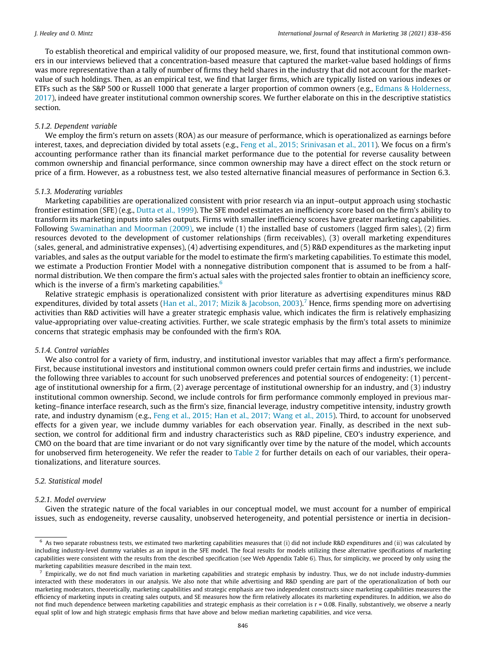<span id="page-8-0"></span>To establish theoretical and empirical validity of our proposed measure, we, first, found that institutional common owners in our interviews believed that a concentration-based measure that captured the market-value based holdings of firms was more representative than a tally of number of firms they held shares in the industry that did not account for the marketvalue of such holdings. Then, as an empirical test, we find that larger firms, which are typically listed on various indexes or ETFs such as the S&P 500 or Russell 1000 that generate a larger proportion of common owners (e.g., [Edmans & Holderness,](#page-17-0) [2017\)](#page-17-0), indeed have greater institutional common ownership scores. We further elaborate on this in the descriptive statistics section.

#### 5.1.2. Dependent variable

We employ the firm's return on assets (ROA) as our measure of performance, which is operationalized as earnings before interest, taxes, and depreciation divided by total assets (e.g., [Feng et al., 2015; Srinivasan et al., 2011](#page-17-0)). We focus on a firm's accounting performance rather than its financial market performance due to the potential for reverse causality between common ownership and financial performance, since common ownership may have a direct effect on the stock return or price of a firm. However, as a robustness test, we also tested alternative financial measures of performance in Section 6.3.

#### 5.1.3. Moderating variables

Marketing capabilities are operationalized consistent with prior research via an input–output approach using stochastic frontier estimation (SFE) (e.g., [Dutta et al., 1999](#page-17-0)). The SFE model estimates an inefficiency score based on the firm's ability to transform its marketing inputs into sales outputs. Firms with smaller inefficiency scores have greater marketing capabilities. Following [Swaminathan and Moorman \(2009\)](#page-18-0), we include (1) the installed base of customers (lagged firm sales), (2) firm resources devoted to the development of customer relationships (firm receivables), (3) overall marketing expenditures (sales, general, and administrative expenses), (4) advertising expenditures, and (5) R&D expenditures as the marketing input variables, and sales as the output variable for the model to estimate the firm's marketing capabilities. To estimate this model, we estimate a Production Frontier Model with a nonnegative distribution component that is assumed to be from a halfnormal distribution. We then compare the firm's actual sales with the projected sales frontier to obtain an inefficiency score, which is the inverse of a firm's marketing capabilities. $6$ 

Relative strategic emphasis is operationalized consistent with prior literature as advertising expenditures minus R&D expenditures, divided by total assets ([Han et al., 2017; Mizik & Jacobson, 2003\)](#page-17-0).<sup>7</sup> Hence, firms spending more on advertising activities than R&D activities will have a greater strategic emphasis value, which indicates the firm is relatively emphasizing value-appropriating over value-creating activities. Further, we scale strategic emphasis by the firm's total assets to minimize concerns that strategic emphasis may be confounded with the firm's ROA.

#### 5.1.4. Control variables

We also control for a variety of firm, industry, and institutional investor variables that may affect a firm's performance. First, because institutional investors and institutional common owners could prefer certain firms and industries, we include the following three variables to account for such unobserved preferences and potential sources of endogeneity: (1) percentage of institutional ownership for a firm, (2) average percentage of institutional ownership for an industry, and (3) industry institutional common ownership. Second, we include controls for firm performance commonly employed in previous marketing–finance interface research, such as the firm's size, financial leverage, industry competitive intensity, industry growth rate, and industry dynamism (e.g., [Feng et al., 2015; Han et al., 2017; Wang et al., 2015](#page-17-0)). Third, to account for unobserved effects for a given year, we include dummy variables for each observation year. Finally, as described in the next subsection, we control for additional firm and industry characteristics such as R&D pipeline, CEO's industry experience, and CMO on the board that are time invariant or do not vary significantly over time by the nature of the model, which accounts for unobserved firm heterogeneity. We refer the reader to [Table 2](#page-9-0) for further details on each of our variables, their operationalizations, and literature sources.

#### 5.2. Statistical model

#### 5.2.1. Model overview

Given the strategic nature of the focal variables in our conceptual model, we must account for a number of empirical issues, such as endogeneity, reverse causality, unobserved heterogeneity, and potential persistence or inertia in decision-

<sup>6</sup> As two separate robustness tests, we estimated two marketing capabilities measures that (i) did not include R&D expenditures and (ii) was calculated by including industry-level dummy variables as an input in the SFE model. The focal results for models utilizing these alternative specifications of marketing capabilities were consistent with the results from the described specification (see Web Appendix Table 6). Thus, for simplicity, we proceed by only using the marketing capabilities measure described in the main text.

 $<sup>7</sup>$  Empirically, we do not find much variation in marketing capabilities and strategic emphasis by industry. Thus, we do not include industry-dummies</sup> interacted with these moderators in our analysis. We also note that while advertising and R&D spending are part of the operationalization of both our marketing moderators, theoretically, marketing capabilities and strategic emphasis are two independent constructs since marketing capabilities measures the efficiency of marketing inputs in creating sales outputs, and SE measures how the firm relatively allocates its marketing expenditures. In addition, we also do not find much dependence between marketing capabilities and strategic emphasis as their correlation is r = 0.08. Finally, substantively, we observe a nearly equal split of low and high strategic emphasis firms that have above and below median marketing capabilities, and vice versa.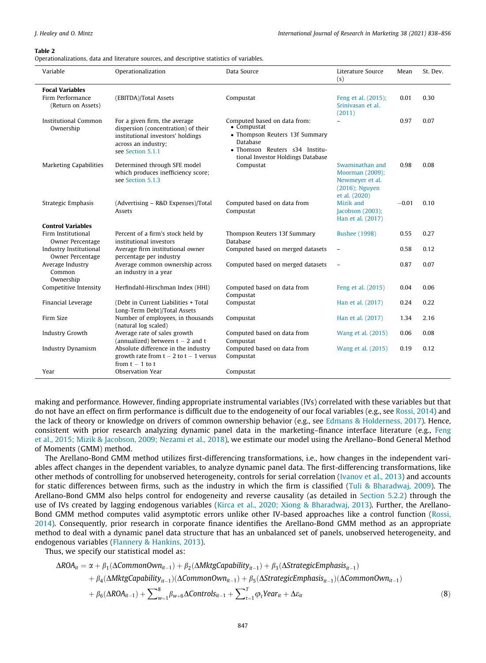#### <span id="page-9-0"></span>Table 2

Operationalizations, data and literature sources, and descriptive statistics of variables.

| Variable                                                         | Operationalization                                                                                                                                    | Data Source                                                                                                                                                      | Literature Source<br>(s)                                                                 | Mean    | St. Dev. |
|------------------------------------------------------------------|-------------------------------------------------------------------------------------------------------------------------------------------------------|------------------------------------------------------------------------------------------------------------------------------------------------------------------|------------------------------------------------------------------------------------------|---------|----------|
| <b>Focal Variables</b><br>Firm Performance<br>(Return on Assets) | (EBITDA)/Total Assets                                                                                                                                 | Compustat                                                                                                                                                        | Feng et al. (2015);<br>Srinivasan et al.<br>(2011)                                       | 0.01    | 0.30     |
| <b>Institutional Common</b><br>Ownership                         | For a given firm, the average<br>dispersion (concentration) of their<br>institutional investors' holdings<br>across an industry;<br>see Section 5.1.1 | Computed based on data from:<br>• Compustat<br>• Thompson Reuters 13f Summary<br>Database<br>· Thomson Reuters s34 Institu-<br>tional Investor Holdings Database | $\overline{\phantom{0}}$                                                                 | 0.97    | 0.07     |
| <b>Marketing Capabilities</b>                                    | Determined through SFE model<br>which produces inefficiency score;<br>see Section 5.1.3                                                               | Compustat                                                                                                                                                        | Swaminathan and<br>Moorman (2009);<br>Newmeyer et al.<br>(2016); Nguyen<br>et al. (2020) | 0.98    | 0.08     |
| Strategic Emphasis                                               | (Advertising - R&D Expenses)/Total<br>Assets                                                                                                          | Computed based on data from<br>Compustat                                                                                                                         | Mizik and<br>Jacobson (2003);<br>Han et al. (2017)                                       | $-0.01$ | 0.10     |
| <b>Control Variables</b>                                         |                                                                                                                                                       |                                                                                                                                                                  |                                                                                          |         |          |
| Firm Institutional<br>Owner Percentage                           | Percent of a firm's stock held by<br>institutional investors                                                                                          | Thompson Reuters 13f Summary<br>Database                                                                                                                         | <b>Bushee (1998)</b>                                                                     | 0.55    | 0.27     |
| <b>Industry Institutional</b><br>Owner Percentage                | Average firm institutional owner<br>percentage per industry                                                                                           | Computed based on merged datasets                                                                                                                                | $\qquad \qquad -$                                                                        | 0.58    | 0.12     |
| Average Industry<br>Common<br>Ownership                          | Average common ownership across<br>an industry in a year                                                                                              | Computed based on merged datasets                                                                                                                                | $\qquad \qquad -$                                                                        | 0.87    | 0.07     |
| Competitive Intensity                                            | Herfindahl-Hirschman Index (HHI)                                                                                                                      | Computed based on data from<br>Compustat                                                                                                                         | Feng et al. (2015)                                                                       | 0.04    | 0.06     |
| Financial Leverage                                               | (Debt in Current Liabilities + Total<br>Long-Term Debt)/Total Assets                                                                                  | Compustat                                                                                                                                                        | Han et al. (2017)                                                                        | 0.24    | 0.22     |
| Firm Size                                                        | Number of employees, in thousands<br>(natural log scaled)                                                                                             | Compustat                                                                                                                                                        | Han et al. (2017)                                                                        | 1.34    | 2.16     |
| <b>Industry Growth</b>                                           | Average rate of sales growth<br>(annualized) between $t - 2$ and $t$                                                                                  | Computed based on data from<br>Compustat                                                                                                                         | Wang et al. (2015)                                                                       | 0.06    | 0.08     |
| <b>Industry Dynamism</b>                                         | Absolute difference in the industry<br>growth rate from $t - 2$ to $t - 1$ versus<br>from $t - 1$ to $t$                                              | Computed based on data from<br>Compustat                                                                                                                         | Wang et al. (2015)                                                                       | 0.19    | 0.12     |
| Year                                                             | Observation Year                                                                                                                                      | Compustat                                                                                                                                                        |                                                                                          |         |          |

making and performance. However, finding appropriate instrumental variables (IVs) correlated with these variables but that do not have an effect on firm performance is difficult due to the endogeneity of our focal variables (e.g., see [Rossi, 2014](#page-18-0)) and the lack of theory or knowledge on drivers of common ownership behavior (e.g., see [Edmans & Holderness, 2017](#page-17-0)). Hence, consistent with prior research analyzing dynamic panel data in the marketing–finance interface literature (e.g., [Feng](#page-17-0) [et al., 2015; Mizik & Jacobson, 2009; Nezami et al., 2018\)](#page-17-0), we estimate our model using the Arellano–Bond General Method of Moments (GMM) method.

The Arellano-Bond GMM method utilizes first-differencing transformations, i.e., how changes in the independent variables affect changes in the dependent variables, to analyze dynamic panel data. The first-differencing transformations, like other methods of controlling for unobserved heterogeneity, controls for serial correlation [\(Ivanov et al., 2013](#page-17-0)) and accounts for static differences between firms, such as the industry in which the firm is classified [\(Tuli & Bharadwaj, 2009\)](#page-18-0). The Arellano-Bond GMM also helps control for endogeneity and reverse causality (as detailed in [Section 5.2.2\)](#page-10-0) through the use of IVs created by lagging endogenous variables [\(Kirca et al., 2020; Xiong & Bharadwaj, 2013\)](#page-17-0). Further, the Arellano-Bond GMM method computes valid asymptotic errors unlike other IV-based approaches like a control function ([Rossi,](#page-18-0) [2014\)](#page-18-0). Consequently, prior research in corporate finance identifies the Arellano-Bond GMM method as an appropriate method to deal with a dynamic panel data structure that has an unbalanced set of panels, unobserved heterogeneity, and endogenous variables ([Flannery & Hankins, 2013\)](#page-17-0).

Thus, we specify our statistical model as:

$$
\Delta ROA_{it} = \alpha + \beta_1(\Delta Common Own_{it-1}) + \beta_2(\Delta MktgCapability_{it-1}) + \beta_3(\Delta StrategyEemphasis_{it-1})
$$
  
+  $\beta_4(\Delta MktgCapability_{it-1})(\Delta Common Own_{it-1}) + \beta_5(\Delta StrategyEemphasis_{it-1})(\Delta Common Own_{it-1})$   
+  $\beta_6(\Delta ROA_{it-1}) + \sum_{w=1}^{8} \beta_{w+6} \Delta Controls_{it-1} + \sum_{t=1}^{T} \varphi_t Year_{it} + \Delta \varepsilon_{it}$  (8)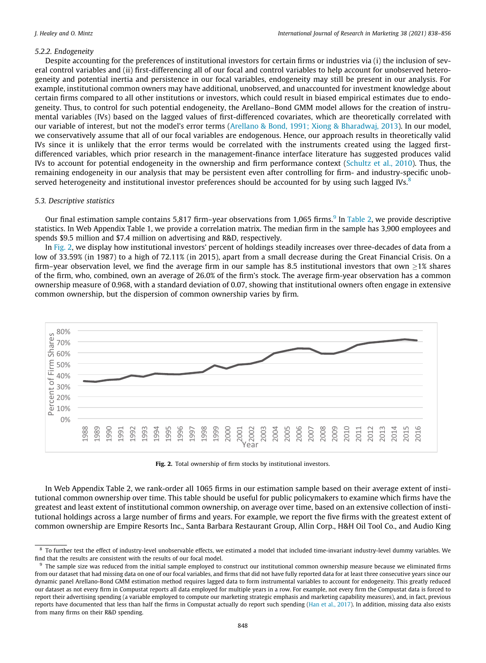### <span id="page-10-0"></span>5.2.2. Endogeneity

Despite accounting for the preferences of institutional investors for certain firms or industries via (i) the inclusion of several control variables and (ii) first-differencing all of our focal and control variables to help account for unobserved heterogeneity and potential inertia and persistence in our focal variables, endogeneity may still be present in our analysis. For example, institutional common owners may have additional, unobserved, and unaccounted for investment knowledge about certain firms compared to all other institutions or investors, which could result in biased empirical estimates due to endogeneity. Thus, to control for such potential endogeneity, the Arellano–Bond GMM model allows for the creation of instrumental variables (IVs) based on the lagged values of first-differenced covariates, which are theoretically correlated with our variable of interest, but not the model's error terms [\(Arellano & Bond, 1991; Xiong & Bharadwaj, 2013](#page-17-0)). In our model, we conservatively assume that all of our focal variables are endogenous. Hence, our approach results in theoretically valid IVs since it is unlikely that the error terms would be correlated with the instruments created using the lagged firstdifferenced variables, which prior research in the management-finance interface literature has suggested produces valid IVs to account for potential endogeneity in the ownership and firm performance context [\(Schultz et al., 2010\)](#page-18-0). Thus, the remaining endogeneity in our analysis that may be persistent even after controlling for firm- and industry-specific unobserved heterogeneity and institutional investor preferences should be accounted for by using such lagged IVs.<sup>8</sup>

#### 5.3. Descriptive statistics

Our final estimation sample contains 5,817 firm–year observations from 1,065 firms.<sup>9</sup> In [Table 2](#page-9-0), we provide descriptive statistics. In Web Appendix Table 1, we provide a correlation matrix. The median firm in the sample has 3,900 employees and spends \$9.5 million and \$7.4 million on advertising and R&D, respectively.

In Fig. 2, we display how institutional investors' percent of holdings steadily increases over three-decades of data from a low of 33.59% (in 1987) to a high of 72.11% (in 2015), apart from a small decrease during the Great Financial Crisis. On a firm–year observation level, we find the average firm in our sample has 8.5 institutional investors that own  $>1\%$  shares of the firm, who, combined, own an average of 26.0% of the firm's stock. The average firm-year observation has a common ownership measure of 0.968, with a standard deviation of 0.07, showing that institutional owners often engage in extensive common ownership, but the dispersion of common ownership varies by firm.



Fig. 2. Total ownership of firm stocks by institutional investors.

In Web Appendix Table 2, we rank-order all 1065 firms in our estimation sample based on their average extent of institutional common ownership over time. This table should be useful for public policymakers to examine which firms have the greatest and least extent of institutional common ownership, on average over time, based on an extensive collection of institutional holdings across a large number of firms and years. For example, we report the five firms with the greatest extent of common ownership are Empire Resorts Inc., Santa Barbara Restaurant Group, Allin Corp., H&H Oil Tool Co., and Audio King

<sup>8</sup> To further test the effect of industry-level unobservable effects, we estimated a model that included time-invariant industry-level dummy variables. We find that the results are consistent with the results of our focal model.

<sup>9</sup> The sample size was reduced from the initial sample employed to construct our institutional common ownership measure because we eliminated firms from our dataset that had missing data on one of our focal variables, and firms that did not have fully reported data for at least three consecutive years since our dynamic panel Arellano-Bond GMM estimation method requires lagged data to form instrumental variables to account for endogeneity. This greatly reduced our dataset as not every firm in Compustat reports all data employed for multiple years in a row. For example, not every firm the Compustat data is forced to report their advertising spending (a variable employed to compute our marketing strategic emphasis and marketing capability measures), and, in fact, previous reports have documented that less than half the firms in Compustat actually do report such spending [\(Han et al., 2017\)](#page-17-0). In addition, missing data also exists from many firms on their R&D spending.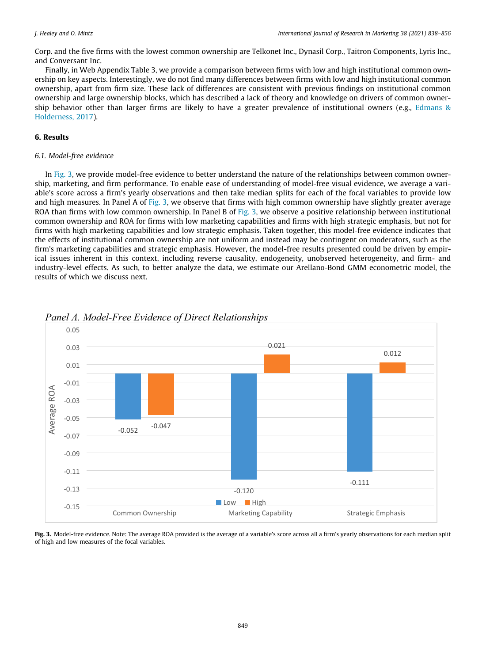Corp. and the five firms with the lowest common ownership are Telkonet Inc., Dynasil Corp., Taitron Components, Lyris Inc., and Conversant Inc.

Finally, in Web Appendix Table 3, we provide a comparison between firms with low and high institutional common ownership on key aspects. Interestingly, we do not find many differences between firms with low and high institutional common ownership, apart from firm size. These lack of differences are consistent with previous findings on institutional common ownership and large ownership blocks, which has described a lack of theory and knowledge on drivers of common ownership behavior other than larger firms are likely to have a greater prevalence of institutional owners (e.g., [Edmans &](#page-17-0) [Holderness, 2017\)](#page-17-0).

## 6. Results

### 6.1. Model-free evidence

In Fig. 3, we provide model-free evidence to better understand the nature of the relationships between common ownership, marketing, and firm performance. To enable ease of understanding of model-free visual evidence, we average a variable's score across a firm's yearly observations and then take median splits for each of the focal variables to provide low and high measures. In Panel A of Fig. 3, we observe that firms with high common ownership have slightly greater average ROA than firms with low common ownership. In Panel B of Fig. 3, we observe a positive relationship between institutional common ownership and ROA for firms with low marketing capabilities and firms with high strategic emphasis, but not for firms with high marketing capabilities and low strategic emphasis. Taken together, this model-free evidence indicates that the effects of institutional common ownership are not uniform and instead may be contingent on moderators, such as the firm's marketing capabilities and strategic emphasis. However, the model-free results presented could be driven by empirical issues inherent in this context, including reverse causality, endogeneity, unobserved heterogeneity, and firm- and industry-level effects. As such, to better analyze the data, we estimate our Arellano-Bond GMM econometric model, the results of which we discuss next.



*Panel A. Model-Free Evidence of Direct Relationships* 

Fig. 3. Model-free evidence. Note: The average ROA provided is the average of a variable's score across all a firm's yearly observations for each median split of high and low measures of the focal variables.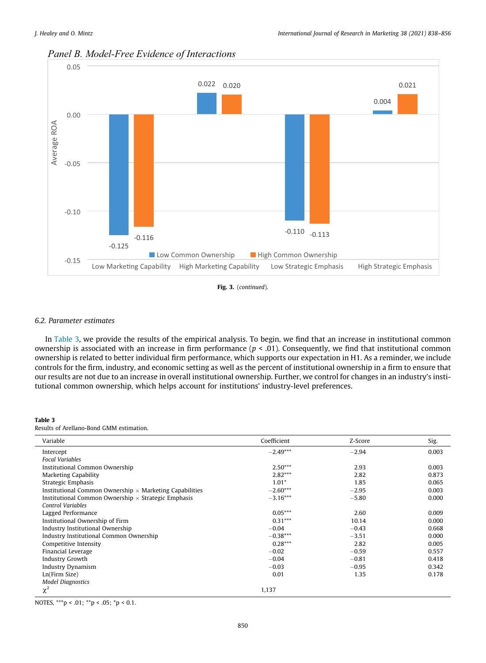

# *Panel B. Model-Free Evidence of Interactions*

Fig. 3. (continued).

#### 6.2. Parameter estimates

In Table 3, we provide the results of the empirical analysis. To begin, we find that an increase in institutional common ownership is associated with an increase in firm performance ( $p < .01$ ). Consequently, we find that institutional common ownership is related to better individual firm performance, which supports our expectation in H1. As a reminder, we include controls for the firm, industry, and economic setting as well as the percent of institutional ownership in a firm to ensure that our results are not due to an increase in overall institutional ownership. Further, we control for changes in an industry's institutional common ownership, which helps account for institutions' industry-level preferences.

#### Table 3

Results of Arellano-Bond GMM estimation.

| Variable                                                       | Coefficient | Z-Score | Sig.  |
|----------------------------------------------------------------|-------------|---------|-------|
| Intercept                                                      | $-2.49***$  | $-2.94$ | 0.003 |
| <b>Focal Variables</b>                                         |             |         |       |
| Institutional Common Ownership                                 | $2.50***$   | 2.93    | 0.003 |
| <b>Marketing Capability</b>                                    | $2.82***$   | 2.82    | 0.873 |
| Strategic Emphasis                                             | $1.01*$     | 1.85    | 0.065 |
| Institutional Common Ownership $\times$ Marketing Capabilities | $-2.60***$  | $-2.95$ | 0.003 |
| Institutional Common Ownership $\times$ Strategic Emphasis     | $-3.16***$  | $-5.80$ | 0.000 |
| <b>Control Variables</b>                                       |             |         |       |
| Lagged Performance                                             | $0.05***$   | 2.60    | 0.009 |
| Institutional Ownership of Firm                                | $0.31***$   | 10.14   | 0.000 |
| Industry Institutional Ownership                               | $-0.04$     | $-0.43$ | 0.668 |
| Industry Institutional Common Ownership                        | $-0.38***$  | $-3.51$ | 0.000 |
| Competitive Intensity                                          | $0.28***$   | 2.82    | 0.005 |
| Financial Leverage                                             | $-0.02$     | $-0.59$ | 0.557 |
| <b>Industry Growth</b>                                         | $-0.04$     | $-0.81$ | 0.418 |
| <b>Industry Dynamism</b>                                       | $-0.03$     | $-0.95$ | 0.342 |
| Ln(Firm Size)                                                  | 0.01        | 1.35    | 0.178 |
| <b>Model Diagnostics</b>                                       |             |         |       |
| $\chi^2$                                                       | 1,137       |         |       |

NOTES, \*\*\*p < .01; \*\*p < .05; \*p < 0.1.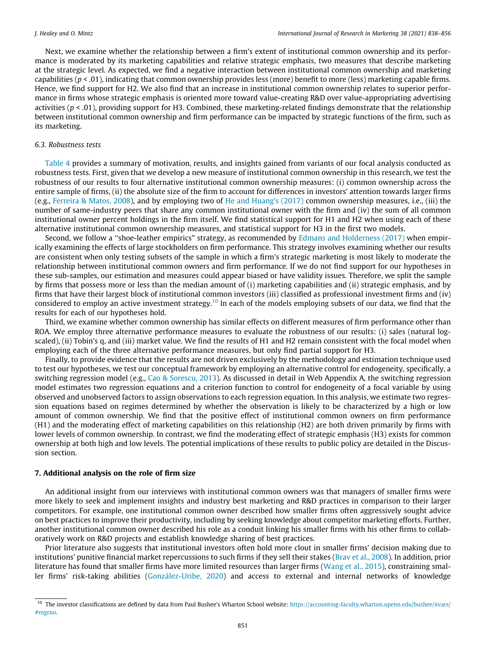Next, we examine whether the relationship between a firm's extent of institutional common ownership and its performance is moderated by its marketing capabilities and relative strategic emphasis, two measures that describe marketing at the strategic level. As expected, we find a negative interaction between institutional common ownership and marketing capabilities ( $p < .01$ ), indicating that common ownership provides less (more) benefit to more (less) marketing capable firms. Hence, we find support for H2. We also find that an increase in institutional common ownership relates to superior performance in firms whose strategic emphasis is oriented more toward value-creating R&D over value-appropriating advertising activities ( $p < .01$ ), providing support for H3. Combined, these marketing-related findings demonstrate that the relationship between institutional common ownership and firm performance can be impacted by strategic functions of the firm, such as its marketing.

#### 6.3. Robustness tests

[Table 4](#page-14-0) provides a summary of motivation, results, and insights gained from variants of our focal analysis conducted as robustness tests. First, given that we develop a new measure of institutional common ownership in this research, we test the robustness of our results to four alternative institutional common ownership measures: (i) common ownership across the entire sample of firms, (ii) the absolute size of the firm to account for differences in investors' attention towards larger firms (e.g., [Ferreira & Matos, 2008](#page-17-0)), and by employing two of [He and Huang's \(2017\)](#page-17-0) common ownership measures, i.e., (iii) the number of same-industry peers that share any common institutional owner with the firm and (iv) the sum of all common institutional owner percent holdings in the firm itself. We find statistical support for H1 and H2 when using each of these alternative institutional common ownership measures, and statistical support for H3 in the first two models.

Second, we follow a ''shoe-leather empirics" strategy, as recommended by [Edmans and Holderness \(2017\)](#page-17-0) when empirically examining the effects of large stockholders on firm performance. This strategy involves examining whether our results are consistent when only testing subsets of the sample in which a firm's strategic marketing is most likely to moderate the relationship between institutional common owners and firm performance. If we do not find support for our hypotheses in these sub-samples, our estimation and measures could appear biased or have validity issues. Therefore, we split the sample by firms that possess more or less than the median amount of (i) marketing capabilities and (ii) strategic emphasis, and by firms that have their largest block of institutional common investors (iii) classified as professional investment firms and (iv) considered to employ an active investment strategy.<sup>10</sup> In each of the models employing subsets of our data, we find that the results for each of our hypotheses hold.

Third, we examine whether common ownership has similar effects on different measures of firm performance other than ROA. We employ three alternative performance measures to evaluate the robustness of our results: (i) sales (natural logscaled), (ii) Tobin's q, and (iii) market value. We find the results of H1 and H2 remain consistent with the focal model when employing each of the three alternative performance measures, but only find partial support for H3.

Finally, to provide evidence that the results are not driven exclusively by the methodology and estimation technique used to test our hypotheses, we test our conceptual framework by employing an alternative control for endogeneity, specifically, a switching regression model (e.g., [Cao & Sorescu, 2013\)](#page-17-0). As discussed in detail in Web Appendix A, the switching regression model estimates two regression equations and a criterion function to control for endogeneity of a focal variable by using observed and unobserved factors to assign observations to each regression equation. In this analysis, we estimate two regression equations based on regimes determined by whether the observation is likely to be characterized by a high or low amount of common ownership. We find that the positive effect of institutional common owners on firm performance (H1) and the moderating effect of marketing capabilities on this relationship (H2) are both driven primarily by firms with lower levels of common ownership. In contrast, we find the moderating effect of strategic emphasis (H3) exists for common ownership at both high and low levels. The potential implications of these results to public policy are detailed in the Discussion section.

### 7. Additional analysis on the role of firm size

An additional insight from our interviews with institutional common owners was that managers of smaller firms were more likely to seek and implement insights and industry best marketing and R&D practices in comparison to their larger competitors. For example, one institutional common owner described how smaller firms often aggressively sought advice on best practices to improve their productivity, including by seeking knowledge about competitor marketing efforts. Further, another institutional common owner described his role as a conduit linking his smaller firms with his other firms to collaboratively work on R&D projects and establish knowledge sharing of best practices.

Prior literature also suggests that institutional investors often hold more clout in smaller firms' decision making due to institutions' punitive financial market repercussions to such firms if they sell their stakes ([Brav et al., 2008](#page-17-0)). In addition, prior literature has found that smaller firms have more limited resources than larger firms ([Wang et al., 2015\)](#page-18-0), constraining smaller firms' risk-taking abilities ([González-Uribe, 2020](#page-17-0)) and access to external and internal networks of knowledge

<sup>&</sup>lt;sup>10</sup> The investor classifications are defined by data from Paul Bushee's Wharton School website: [https://accounting-faculty.wharton.upenn.edu/bushee/iivars/](https://accounting-faculty.wharton.upenn.edu/bushee/iivars/%23mgrno) [#mgrno.](https://accounting-faculty.wharton.upenn.edu/bushee/iivars/%23mgrno)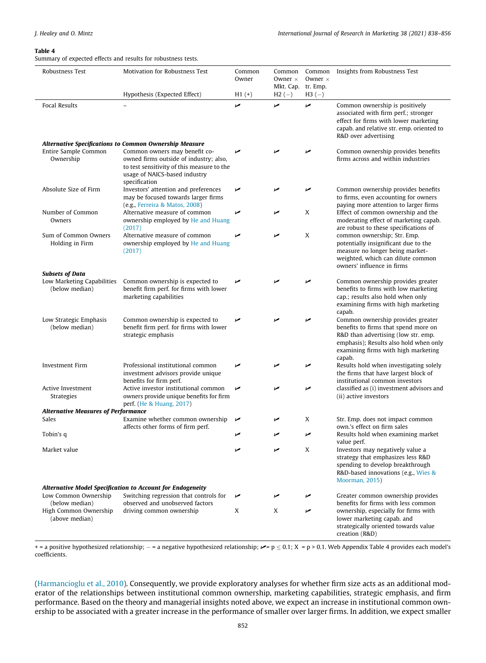#### <span id="page-14-0"></span>Table 4

Summary of expected effects and results for robustness tests.

| Robustness Test                              | Motivation for Robustness Test                                                                                                         | Common<br>Owner | Common<br>Common<br>Owner $\times$<br>Owner $\times$ |                     | Insights from Robustness Test                                                                                                                                                                               |  |
|----------------------------------------------|----------------------------------------------------------------------------------------------------------------------------------------|-----------------|------------------------------------------------------|---------------------|-------------------------------------------------------------------------------------------------------------------------------------------------------------------------------------------------------------|--|
|                                              | Hypothesis (Expected Effect)                                                                                                           | $H1 (+)$        | Mkt. Cap.<br>$H2(-)$                                 | tr. Emp.<br>$H3(-)$ |                                                                                                                                                                                                             |  |
| <b>Focal Results</b>                         |                                                                                                                                        | مما             | مما                                                  | مما                 | Common ownership is positively<br>associated with firm perf.; stronger<br>effect for firms with lower marketing<br>capab. and relative str. emp. oriented to<br>R&D over advertising                        |  |
| Entire Sample Common                         | <b>Alternative Specifications to Common Ownership Measure</b><br>Common owners may benefit co-                                         | مما             |                                                      | مما                 | Common ownership provides benefits                                                                                                                                                                          |  |
| Ownership                                    | owned firms outside of industry; also,<br>to test sensitivity of this measure to the<br>usage of NAICS-based industry<br>specification |                 |                                                      |                     | firms across and within industries                                                                                                                                                                          |  |
| Absolute Size of Firm                        | Investors' attention and preferences<br>may be focused towards larger firms<br>(e.g., Ferreira & Matos, 2008)                          | مما             | مما                                                  | مما                 | Common ownership provides benefits<br>to firms, even accounting for owners<br>paying more attention to larger firms                                                                                         |  |
| Number of Common<br>Owners                   | Alternative measure of common<br>ownership employed by He and Huang<br>(2017)                                                          | مما             | مما                                                  | X                   | Effect of common ownership and the<br>moderating effect of marketing capab.<br>are robust to these specifications of                                                                                        |  |
| Sum of Common Owners<br>Holding in Firm      | Alternative measure of common<br>ownership employed by He and Huang<br>(2017)                                                          | مما             | مما                                                  | X                   | common ownership; Str. Emp.<br>potentially insignificant due to the<br>measure no longer being market-<br>weighted, which can dilute common<br>owners' influence in firms                                   |  |
| <b>Subsets of Data</b>                       |                                                                                                                                        |                 |                                                      |                     |                                                                                                                                                                                                             |  |
| Low Marketing Capabilities<br>(below median) | Common ownership is expected to<br>benefit firm perf. for firms with lower<br>marketing capabilities                                   | مما             |                                                      | مما                 | Common ownership provides greater<br>benefits to firms with low marketing<br>cap.; results also hold when only<br>examining firms with high marketing<br>capab.                                             |  |
| Low Strategic Emphasis<br>(below median)     | Common ownership is expected to<br>benefit firm perf, for firms with lower<br>strategic emphasis                                       | مما             | مما                                                  | مما                 | Common ownership provides greater<br>benefits to firms that spend more on<br>R&D than advertising (low str. emp.<br>emphasis); Results also hold when only<br>examining firms with high marketing<br>capab. |  |
| <b>Investment Firm</b>                       | Professional institutional common<br>investment advisors provide unique<br>benefits for firm perf.                                     | مما             |                                                      | مما                 | Results hold when investigating solely<br>the firms that have largest block of<br>institutional common investors                                                                                            |  |
| Active Investment<br>Strategies              | Active investor institutional common<br>owners provide unique benefits for firm<br>perf. (He & Huang, 2017)                            | مما             | مما                                                  | مما                 | classified as (i) investment advisors and<br>(ii) active investors                                                                                                                                          |  |
| <b>Alternative Measures of Performance</b>   |                                                                                                                                        |                 |                                                      |                     |                                                                                                                                                                                                             |  |
| Sales                                        | Examine whether common ownership<br>affects other forms of firm perf.                                                                  | مما             | مما                                                  | X                   | Str. Emp. does not impact common<br>own,'s effect on firm sales                                                                                                                                             |  |
| Tobin's q                                    |                                                                                                                                        | مما             | مما                                                  | مما                 | Results hold when examining market<br>value perf.                                                                                                                                                           |  |
| Market value                                 |                                                                                                                                        |                 | مما                                                  | X                   | Investors may negatively value a<br>strategy that emphasizes less R&D<br>spending to develop breakthrough<br>R&D-based innovations (e.g., Wies &<br>Moorman, 2015)                                          |  |
| Low Common Ownership                         | Alternative Model Specification to Account for Endogeneity<br>Switching regression that controls for                                   | مما             | مما                                                  | مما                 | Greater common ownership provides                                                                                                                                                                           |  |
| (below median)                               | observed and unobserved factors                                                                                                        |                 |                                                      |                     | benefits for firms with less common                                                                                                                                                                         |  |
| High Common Ownership<br>(above median)      | driving common ownership                                                                                                               | X               | X                                                    | مما                 | ownership, especially for firms with<br>lower marketing capab. and<br>strategically oriented towards value<br>creation (R&D)                                                                                |  |

+ = a positive hypothesized relationship; - = a negative hypothesized relationship;  $\blacktriangleright$  = p  $\le$  0.1; X = p > 0.1. Web Appendix Table 4 provides each model's coefficients.

[\(Harmancioglu et al., 2010](#page-17-0)). Consequently, we provide exploratory analyses for whether firm size acts as an additional moderator of the relationships between institutional common ownership, marketing capabilities, strategic emphasis, and firm performance. Based on the theory and managerial insights noted above, we expect an increase in institutional common ownership to be associated with a greater increase in the performance of smaller over larger firms. In addition, we expect smaller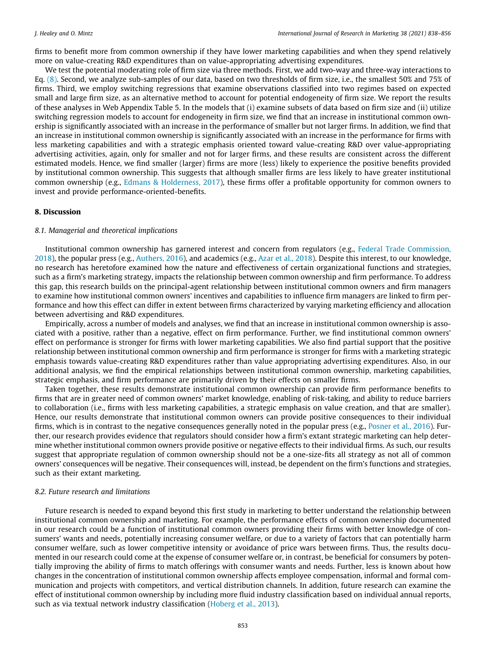firms to benefit more from common ownership if they have lower marketing capabilities and when they spend relatively more on value-creating R&D expenditures than on value-appropriating advertising expenditures.

We test the potential moderating role of firm size via three methods. First, we add two-way and three-way interactions to Eq. [\(8\).](#page-9-0) Second, we analyze sub-samples of our data, based on two thresholds of firm size, i.e., the smallest 50% and 75% of firms. Third, we employ switching regressions that examine observations classified into two regimes based on expected small and large firm size, as an alternative method to account for potential endogeneity of firm size. We report the results of these analyses in Web Appendix Table 5. In the models that (i) examine subsets of data based on firm size and (ii) utilize switching regression models to account for endogeneity in firm size, we find that an increase in institutional common ownership is significantly associated with an increase in the performance of smaller but not larger firms. In addition, we find that an increase in institutional common ownership is significantly associated with an increase in the performance for firms with less marketing capabilities and with a strategic emphasis oriented toward value-creating R&D over value-appropriating advertising activities, again, only for smaller and not for larger firms, and these results are consistent across the different estimated models. Hence, we find smaller (larger) firms are more (less) likely to experience the positive benefits provided by institutional common ownership. This suggests that although smaller firms are less likely to have greater institutional common ownership (e.g., [Edmans & Holderness, 2017\)](#page-17-0), these firms offer a profitable opportunity for common owners to invest and provide performance-oriented-benefits.

#### 8. Discussion

#### 8.1. Managerial and theoretical implications

Institutional common ownership has garnered interest and concern from regulators (e.g., [Federal Trade Commission,](#page-17-0) [2018\)](#page-17-0), the popular press (e.g., [Authers, 2016](#page-17-0)), and academics (e.g., [Azar et al., 2018](#page-17-0)). Despite this interest, to our knowledge, no research has heretofore examined how the nature and effectiveness of certain organizational functions and strategies, such as a firm's marketing strategy, impacts the relationship between common ownership and firm performance. To address this gap, this research builds on the principal-agent relationship between institutional common owners and firm managers to examine how institutional common owners' incentives and capabilities to influence firm managers are linked to firm performance and how this effect can differ in extent between firms characterized by varying marketing efficiency and allocation between advertising and R&D expenditures.

Empirically, across a number of models and analyses, we find that an increase in institutional common ownership is associated with a positive, rather than a negative, effect on firm performance. Further, we find institutional common owners' effect on performance is stronger for firms with lower marketing capabilities. We also find partial support that the positive relationship between institutional common ownership and firm performance is stronger for firms with a marketing strategic emphasis towards value-creating R&D expenditures rather than value appropriating advertising expenditures. Also, in our additional analysis, we find the empirical relationships between institutional common ownership, marketing capabilities, strategic emphasis, and firm performance are primarily driven by their effects on smaller firms.

Taken together, these results demonstrate institutional common ownership can provide firm performance benefits to firms that are in greater need of common owners' market knowledge, enabling of risk-taking, and ability to reduce barriers to collaboration (i.e., firms with less marketing capabilities, a strategic emphasis on value creation, and that are smaller). Hence, our results demonstrate that institutional common owners can provide positive consequences to their individual firms, which is in contrast to the negative consequences generally noted in the popular press (e.g., [Posner et al., 2016](#page-18-0)). Further, our research provides evidence that regulators should consider how a firm's extant strategic marketing can help determine whether institutional common owners provide positive or negative effects to their individual firms. As such, our results suggest that appropriate regulation of common ownership should not be a one-size-fits all strategy as not all of common owners' consequences will be negative. Their consequences will, instead, be dependent on the firm's functions and strategies, such as their extant marketing.

#### 8.2. Future research and limitations

Future research is needed to expand beyond this first study in marketing to better understand the relationship between institutional common ownership and marketing. For example, the performance effects of common ownership documented in our research could be a function of institutional common owners providing their firms with better knowledge of consumers' wants and needs, potentially increasing consumer welfare, or due to a variety of factors that can potentially harm consumer welfare, such as lower competitive intensity or avoidance of price wars between firms. Thus, the results documented in our research could come at the expense of consumer welfare or, in contrast, be beneficial for consumers by potentially improving the ability of firms to match offerings with consumer wants and needs. Further, less is known about how changes in the concentration of institutional common ownership affects employee compensation, informal and formal communication and projects with competitors, and vertical distribution channels. In addition, future research can examine the effect of institutional common ownership by including more fluid industry classification based on individual annual reports, such as via textual network industry classification ([Hoberg et al., 2013](#page-17-0)).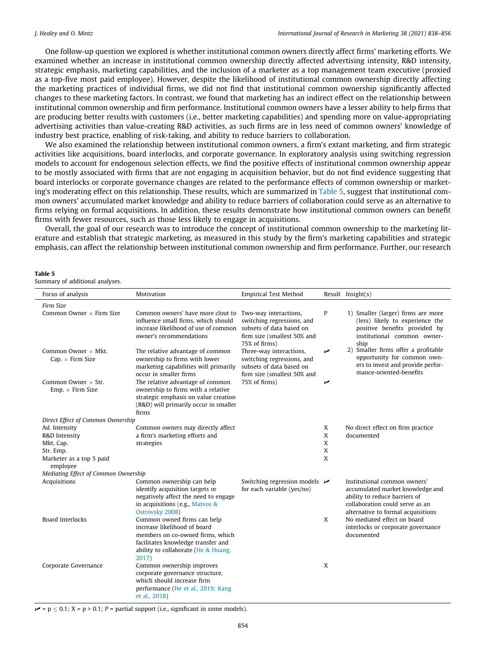One follow-up question we explored is whether institutional common owners directly affect firms' marketing efforts. We examined whether an increase in institutional common ownership directly affected advertising intensity, R&D intensity, strategic emphasis, marketing capabilities, and the inclusion of a marketer as a top management team executive (proxied as a top-five most paid employee). However, despite the likelihood of institutional common ownership directly affecting the marketing practices of individual firms, we did not find that institutional common ownership significantly affected changes to these marketing factors. In contrast, we found that marketing has an indirect effect on the relationship between institutional common ownership and firm performance. Institutional common owners have a lesser ability to help firms that are producing better results with customers (i.e., better marketing capabilities) and spending more on value-appropriating advertising activities than value-creating R&D activities, as such firms are in less need of common owners' knowledge of industry best practice, enabling of risk-taking, and ability to reduce barriers to collaboration.

We also examined the relationship between institutional common owners, a firm's extant marketing, and firm strategic activities like acquisitions, board interlocks, and corporate governance. In exploratory analysis using switching regression models to account for endogenous selection effects, we find the positive effects of institutional common ownership appear to be mostly associated with firms that are not engaging in acquisition behavior, but do not find evidence suggesting that board interlocks or corporate governance changes are related to the performance effects of common ownership or marketing's moderating effect on this relationship. These results, which are summarized in Table 5, suggest that institutional common owners' accumulated market knowledge and ability to reduce barriers of collaboration could serve as an alternative to firms relying on formal acquisitions. In addition, these results demonstrate how institutional common owners can benefit firms with fewer resources, such as those less likely to engage in acquisitions.

Overall, the goal of our research was to introduce the concept of institutional common ownership to the marketing literature and establish that strategic marketing, as measured in this study by the firm's marketing capabilities and strategic emphasis, can affect the relationship between institutional common ownership and firm performance. Further, our research

#### Table 5

Summary of additional analyses.

| Focus of analysis                                     | Motivation                                                                                                                                                                            | <b>Empirical Test Method</b>                                                                                                    |     | Result $Insight(s)$                                                                                                                                                        |
|-------------------------------------------------------|---------------------------------------------------------------------------------------------------------------------------------------------------------------------------------------|---------------------------------------------------------------------------------------------------------------------------------|-----|----------------------------------------------------------------------------------------------------------------------------------------------------------------------------|
| Firm Size                                             |                                                                                                                                                                                       |                                                                                                                                 |     |                                                                                                                                                                            |
| Common Owner $\times$ Firm Size                       | Common owners' have more clout to<br>influence small firms, which should<br>increase likelihood of use of common<br>owner's recommendations                                           | Two-way interactions,<br>switching regressions, and<br>subsets of data based on<br>firm size (smallest 50% and<br>75% of firms) | P   | 1) Smaller (larger) firms are more<br>(less) likely to experience the<br>positive benefits provided by<br>institutional common owner-<br>ship                              |
| Common Owner $\times$ Mkt.<br>Cap. $\times$ Firm Size | The relative advantage of common<br>ownership to firms with lower<br>marketing capabilities will primarily<br>occur in smaller firms                                                  | Three-way interactions,<br>switching regressions, and<br>subsets of data based on<br>firm size (smallest 50% and                | مما | 2) Smaller firms offer a profitable<br>opportunity for common own-<br>ers to invest and provide perfor-<br>mance-oriented-benefits                                         |
| Common Owner $\times$ Str.<br>Emp. × Firm Size        | The relative advantage of common<br>ownership to firms with a relative<br>strategic emphasis on value creation<br>(R&D) will primarily occur in smaller<br>firms                      | 75% of firms)                                                                                                                   | مما |                                                                                                                                                                            |
| Direct Effect of Common Ownership<br>Ad. Intensity    | Common owners may directly affect                                                                                                                                                     |                                                                                                                                 | X   | No direct effect on firm practice                                                                                                                                          |
| R&D Intensity                                         | a firm's marketing efforts and                                                                                                                                                        |                                                                                                                                 | X   | documented                                                                                                                                                                 |
| Mkt. Cap.                                             | strategies                                                                                                                                                                            |                                                                                                                                 | X   |                                                                                                                                                                            |
| Str. Emp.                                             |                                                                                                                                                                                       |                                                                                                                                 | X   |                                                                                                                                                                            |
| Marketer as a top 5 paid<br>employee                  |                                                                                                                                                                                       |                                                                                                                                 | X   |                                                                                                                                                                            |
| Mediating Effect of Common Ownership                  |                                                                                                                                                                                       |                                                                                                                                 |     |                                                                                                                                                                            |
| Acquisitions                                          | Common ownership can help<br>identify acquisition targets or<br>negatively affect the need to engage<br>in acquisitions (e.g., Matvos &<br>Ostrovsky 2008)                            | Switching regression models $\triangleright$<br>for each variable (yes/no)                                                      |     | Institutional common owners'<br>accumulated market knowledge and<br>ability to reduce barriers of<br>collaboration could serve as an<br>alternative to formal acquisitions |
| <b>Board Interlocks</b>                               | Common owned firms can help<br>increase likelihood of board<br>members on co-owned firms, which<br>facilitates knowledge transfer and<br>ability to collaborate (He & Huang,<br>2017) |                                                                                                                                 | X   | No mediated effect on board<br>interlocks or corporate governance<br>documented                                                                                            |
| Corporate Governance                                  | Common ownership improves<br>corporate governance structure,<br>which should increase firm<br>performance (He et al., 2019; Kang<br>et al., 2018)                                     |                                                                                                                                 | X   |                                                                                                                                                                            |

 $\blacktriangleright$  = p  $\le$  0.1; X = p > 0.1; P = partial support (i.e., significant in some models).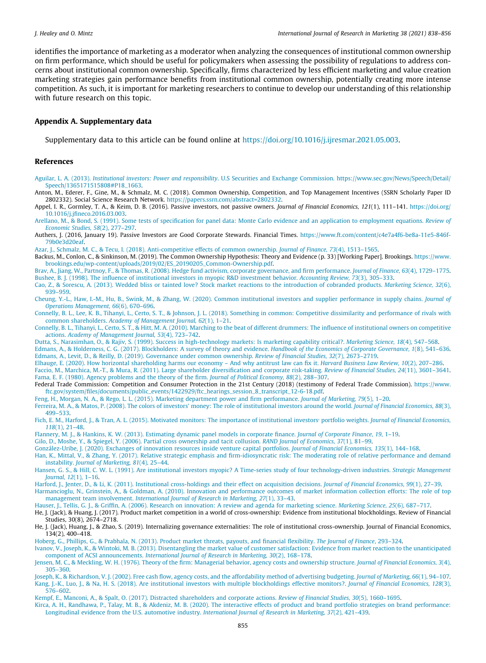<span id="page-17-0"></span>identifies the importance of marketing as a moderator when analyzing the consequences of institutional common ownership on firm performance, which should be useful for policymakers when assessing the possibility of regulations to address concerns about institutional common ownership. Specifically, firms characterized by less efficient marketing and value creation marketing strategies gain performance benefits from institutional common ownership, potentially creating more intense competition. As such, it is important for marketing researchers to continue to develop our understanding of this relationship with future research on this topic.

#### Appendix A. Supplementary data

Supplementary data to this article can be found online at [https://doi.org/10.1016/j.ijresmar.2021.05.003.](https://doi.org/10.1016/j.ijresmar.2021.05.003)

#### References

Aguilar, L. A. (2013). Institutional investors: Power and responsibility[. U.S Securities and Exchange Commission. https://www.sec.gov/News/Speech/Detail/](http://refhub.elsevier.com/S0167-8116(21)00038-0/h0005) [Speech/1365171515808#P18\\_1663](http://refhub.elsevier.com/S0167-8116(21)00038-0/h0005).

Anton, M., Ederer, F., Gine, M., & Schmalz, M. C. (2018). Common Ownership, Competition, and Top Management Incentives (SSRN Scholarly Paper ID 2802332). Social Science Research Network. [https://papers.ssrn.com/abstract=2802332](https://papers.ssrn.com/abstract%3d2802332).

Appel, I. R., Gormley, T. A., & Keim, D. B. (2016). Passive investors, not passive owners. Journal of Financial Economics, 121(1), 111–141. [https://doi.org/](https://doi.org/10.1016/j.jfineco.2016.03.003) [10.1016/j.jfineco.2016.03.003](https://doi.org/10.1016/j.jfineco.2016.03.003).

[Arellano, M., & Bond, S. \(1991\). Some tests of specification for panel data: Monte Carlo evidence and an application to employment equations.](http://refhub.elsevier.com/S0167-8116(21)00038-0/h0020) Review of [Economic Studies, 58](http://refhub.elsevier.com/S0167-8116(21)00038-0/h0020)(2), 277–297.

Authers, J. (2016, January 19). Passive Investors are Good Corporate Stewards. Financial Times. [https://www.ft.com/content/c4e7a4f6-be8a-11e5-846f-](https://www.ft.com/content/c4e7a4f6-be8a-11e5-846f-79b0e3d20eaf)[79b0e3d20eaf.](https://www.ft.com/content/c4e7a4f6-be8a-11e5-846f-79b0e3d20eaf)

[Azar, J., Schmalz, M. C., & Tecu, I. \(2018\). Anti-competitive effects of common ownership.](http://refhub.elsevier.com/S0167-8116(21)00038-0/h0030) Journal of Finance, 73(4), 1513-1565.

Backus, M., Conlon, C., & Sinkinson, M. (2019). The Common Ownership Hypothesis: Theory and Evidence (p. 33) [Working Paper]. Brookings. [https://www.](https://www.brookings.edu/wp-content/uploads/2019/02/ES_20190205_Common-Ownership.pdf) [brookings.edu/wp-content/uploads/2019/02/ES\\_20190205\\_Common-Ownership.pdf.](https://www.brookings.edu/wp-content/uploads/2019/02/ES_20190205_Common-Ownership.pdf)

[Brav, A., Jiang, W., Partnoy, F., & Thomas, R. \(2008\). Hedge fund activism, corporate governance, and firm performance.](http://refhub.elsevier.com/S0167-8116(21)00038-0/h0040) Journal of Finance, 63(4), 1729–1775. [Bushee, B. J. \(1998\). The influence of institutional investors in myopic R&D investment behavior.](http://refhub.elsevier.com/S0167-8116(21)00038-0/h0045) Accounting Review, 73(3), 305–333.

[Cao, Z., & Sorescu, A. \(2013\). Wedded bliss or tainted love? Stock market reactions to the introduction of cobranded products.](http://refhub.elsevier.com/S0167-8116(21)00038-0/h0050) Marketing Science, 32(6), [939–959.](http://refhub.elsevier.com/S0167-8116(21)00038-0/h0050)

[Cheung, Y.-L., Haw, I.-M., Hu, B., Swink, M., & Zhang, W. \(2020\). Common institutional investors and supplier performance in supply chains.](http://refhub.elsevier.com/S0167-8116(21)00038-0/h0055) Journal of [Operations Management, 66](http://refhub.elsevier.com/S0167-8116(21)00038-0/h0055)(6), 670–696.

[Connelly, B. L., Lee, K. B., Tihanyi, L., Certo, S. T., & Johnson, J. L. \(2018\). Something in common: Competitive dissimilarity and performance of rivals with](http://refhub.elsevier.com/S0167-8116(21)00038-0/h0060) common shareholders. [Academy of Management Journal, 62](http://refhub.elsevier.com/S0167-8116(21)00038-0/h0060)(1), 1–21.

[Connelly, B. L., Tihanyi, L., Certo, S. T., & Hitt, M. A. \(2010\). Marching to the beat of different drummers: The influence of institutional owners on competitive](http://refhub.elsevier.com/S0167-8116(21)00038-0/h0065) actions. [Academy of Management Journal, 53](http://refhub.elsevier.com/S0167-8116(21)00038-0/h0065)(4), 723–742.

[Dutta, S., Narasimhan, O., & Rajiv, S. \(1999\). Success in high-technology markets: Is marketing capability critical?.](http://refhub.elsevier.com/S0167-8116(21)00038-0/h0070) Marketing Science, 18(4), 547-568.

[Edmans, A., & Holderness, C. G. \(2017\). Blockholders: A survey of theory and evidence.](http://refhub.elsevier.com/S0167-8116(21)00038-0/h0075) Handbook of the Economics of Corporate Governance, 1(8), 541–636. [Edmans, A., Levit, D., & Reilly, D. \(2019\). Governance under common ownership.](http://refhub.elsevier.com/S0167-8116(21)00038-0/h0080) Review of Financial Studies, 32(7), 2673–2719.

[Elhauge, E. \(2020\). How horizontal shareholding harms our economy – And why antitrust law can fix it.](http://refhub.elsevier.com/S0167-8116(21)00038-0/h0085) Harvard Business Law Review, 10(2), 207–286.

[Faccio, M., Marchica, M.-T., & Mura, R. \(2011\). Large shareholder diversification and corporate risk-taking.](http://refhub.elsevier.com/S0167-8116(21)00038-0/h0090) Review of Financial Studies, 24(11), 3601–3641. [Fama, E. F. \(1980\). Agency problems and the theory of the firm.](http://refhub.elsevier.com/S0167-8116(21)00038-0/h0095) Journal of Political Economy, 88(2), 288–307.

Federal Trade Commission: Competition and Consumer Protection in the 21st Century (2018) (testimony of Federal Trade Commission). [https://www.](https://www.ftc.gov/system/files/documents/public_events/1422929/ftc_hearings_session_8_transcript_12-6-18.pdf) [ftc.gov/system/files/documents/public\\_events/1422929/ftc\\_hearings\\_session\\_8\\_transcript\\_12-6-18.pdf.](https://www.ftc.gov/system/files/documents/public_events/1422929/ftc_hearings_session_8_transcript_12-6-18.pdf)

[Feng, H., Morgan, N. A., & Rego, L. L. \(2015\). Marketing department power and firm performance.](http://refhub.elsevier.com/S0167-8116(21)00038-0/h0105) Journal of Marketing, 79(5), 1–20.

[Ferreira, M. A., & Matos, P. \(2008\). The colors of investors' money: The role of institutional investors around the world.](http://refhub.elsevier.com/S0167-8116(21)00038-0/h0110) Journal of Financial Economics, 88(3), [499–533.](http://refhub.elsevier.com/S0167-8116(21)00038-0/h0110)

[Fich, E. M., Harford, J., & Tran, A. L. \(2015\). Motivated monitors: The importance of institutional investors](http://refhub.elsevier.com/S0167-8116(21)00038-0/h0115)' portfolio weights. [Journal of Financial Economics,](http://refhub.elsevier.com/S0167-8116(21)00038-0/h0115) 118[\(1\), 21–48](http://refhub.elsevier.com/S0167-8116(21)00038-0/h0115).

[Flannery, M. J., & Hankins, K. W. \(2013\). Estimating dynamic panel models in corporate finance.](http://refhub.elsevier.com/S0167-8116(21)00038-0/h0120) Journal of Corporate Finance, 19, 1–19.

[Gilo, D., Moshe, Y., & Spiegel, Y. \(2006\). Partial cross ownership and tacit collusion.](http://refhub.elsevier.com/S0167-8116(21)00038-0/h0125) RAND Journal of Economics, 37(1), 81-99.

[González-Uribe, J. \(2020\). Exchanges of innovation resources inside venture capital portfolios.](http://refhub.elsevier.com/S0167-8116(21)00038-0/h0130) Journal of Financial Economics, 135(1), 144–168. [Han, K., Mittal, V., & Zhang, Y. \(2017\). Relative strategic emphasis and firm-idiosyncratic risk: The moderating role of relative performance and demand](http://refhub.elsevier.com/S0167-8116(21)00038-0/h0135)

instability. [Journal of Marketing, 81](http://refhub.elsevier.com/S0167-8116(21)00038-0/h0135)(4), 25–44.

[Hansen, G. S., & Hill, C. W. L. \(1991\). Are institutional investors myopic? A Time-series study of four technology-driven industries.](http://refhub.elsevier.com/S0167-8116(21)00038-0/h0140) Strategic Management [Journal, 12](http://refhub.elsevier.com/S0167-8116(21)00038-0/h0140)(1), 1–16.

[Harford, J., Jenter, D., & Li, K. \(2011\). Institutional cross-holdings and their effect on acquisition decisions.](http://refhub.elsevier.com/S0167-8116(21)00038-0/h0145) Journal of Financial Economics, 99(1), 27-39.

[Harmancioglu, N., Grinstein, A., & Goldman, A. \(2010\). Innovation and performance outcomes of market information collection efforts: The role of top](http://refhub.elsevier.com/S0167-8116(21)00038-0/h0150) management team involvement. [International Journal of Research in Marketing, 27](http://refhub.elsevier.com/S0167-8116(21)00038-0/h0150)(1), 33–43.

[Hauser, J., Tellis, G. J., & Griffin, A. \(2006\). Research on innovation: A review and agenda for marketing science.](http://refhub.elsevier.com/S0167-8116(21)00038-0/h0155) Marketing Science, 25(6), 687–717.

He, J. (Jack), & Huang, J. (2017). Product market competition in a world of cross-ownership: Evidence from institutional blockholdings. Review of Financial Studies, 30(8), 2674–2718.

He, J. (Jack), Huang, J., & Zhao, S. (2019). Internalizing governance externalities: The role of institutional cross-ownership. Journal of Financial Economics, 134(2), 400–418.

[Hoberg, G., Phillips, G., & Prabhala, N. \(2013\). Product market threats, payouts, and financial flexibility.](http://refhub.elsevier.com/S0167-8116(21)00038-0/h0170) The Journal of Finance, 293–324.

[Ivanov, V., Joseph, K., & Wintoki, M. B. \(2013\). Disentangling the market value of customer satisfaction: Evidence from market reaction to the unanticipated](http://refhub.elsevier.com/S0167-8116(21)00038-0/h0175) component of ACSI announcements. [International Journal of Research in Marketing, 30](http://refhub.elsevier.com/S0167-8116(21)00038-0/h0175)(2), 168–178.

[Jensen, M. C., & Meckling, W. H. \(1976\). Theory of the firm: Managerial behavior, agency costs and ownership structure.](http://refhub.elsevier.com/S0167-8116(21)00038-0/h0180) Journal of Financial Economics, 3(4), [305–360](http://refhub.elsevier.com/S0167-8116(21)00038-0/h0180).

[Joseph, K., & Richardson, V. J. \(2002\). Free cash flow, agency costs, and the affordability method of advertising budgeting.](http://refhub.elsevier.com/S0167-8116(21)00038-0/h0185) Journal of Marketing, 66(1), 94–107. [Kang, J.-K., Luo, J., & Na, H. S. \(2018\). Are institutional investors with multiple blockholdings effective monitors?.](http://refhub.elsevier.com/S0167-8116(21)00038-0/h0190) Journal of Financial Economics, 128(3), [576–602.](http://refhub.elsevier.com/S0167-8116(21)00038-0/h0190)

[Kempf, E., Manconi, A., & Spalt, O. \(2017\). Distracted shareholders and corporate actions.](http://refhub.elsevier.com/S0167-8116(21)00038-0/h0195) Review of Financial Studies, 30(5), 1660–1695.

[Kirca, A. H., Randhawa, P., Talay, M. B., & Akdeniz, M. B. \(2020\). The interactive effects of product and brand portfolio strategies on brand performance:](http://refhub.elsevier.com/S0167-8116(21)00038-0/h0200) [Longitudinal evidence from the U.S. automotive industry.](http://refhub.elsevier.com/S0167-8116(21)00038-0/h0200) International Journal of Research in Marketing, 37(2), 421–439.